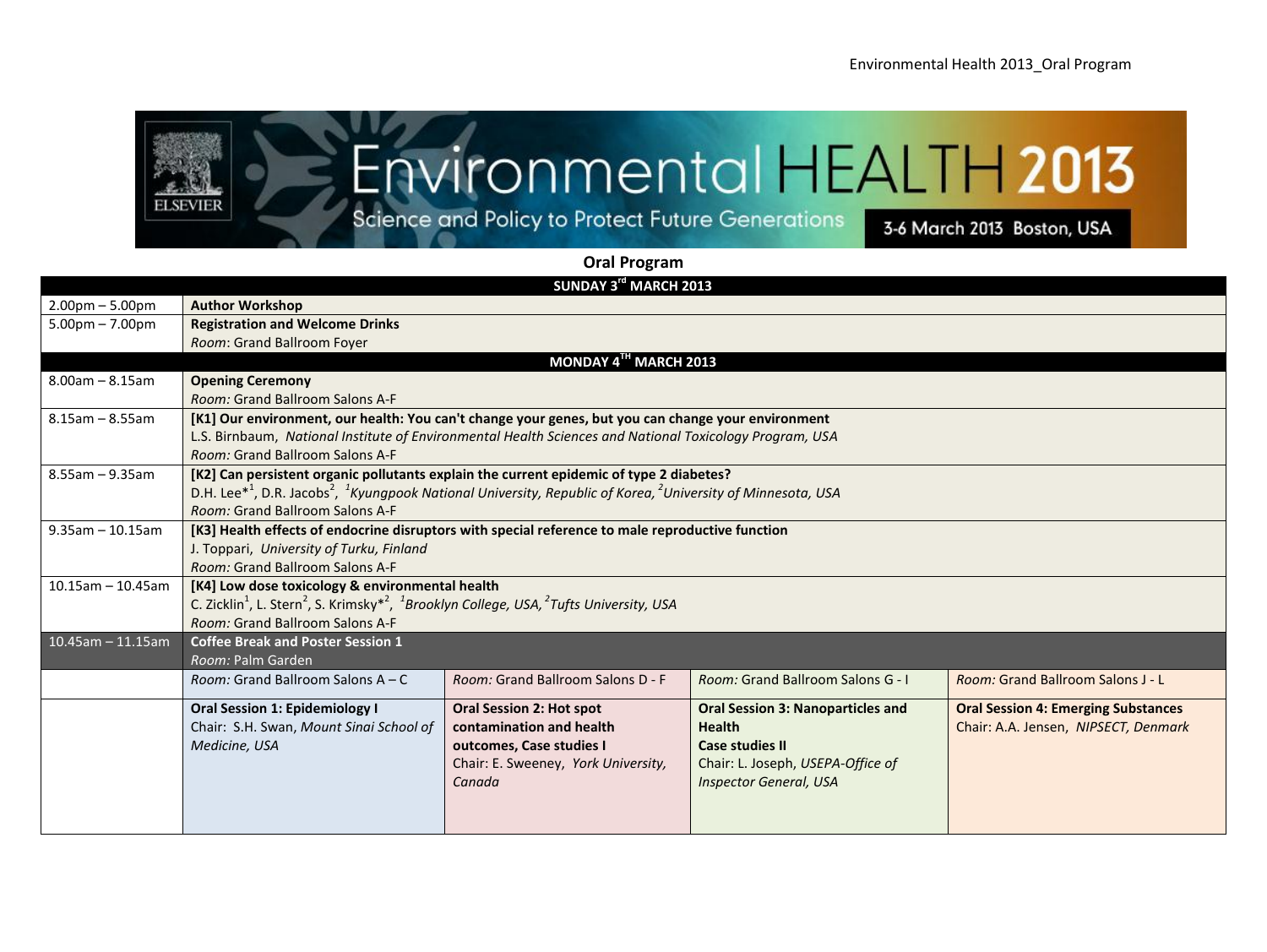

## **Oral Program**

| SUNDAY 3rd MARCH 2013             |                                                                                                                                                              |                                     |                                          |                                            |
|-----------------------------------|--------------------------------------------------------------------------------------------------------------------------------------------------------------|-------------------------------------|------------------------------------------|--------------------------------------------|
| $2.00$ pm $- 5.00$ pm             | <b>Author Workshop</b>                                                                                                                                       |                                     |                                          |                                            |
| $5.00 \text{pm} - 7.00 \text{pm}$ | <b>Registration and Welcome Drinks</b>                                                                                                                       |                                     |                                          |                                            |
|                                   | Room: Grand Ballroom Foyer                                                                                                                                   |                                     |                                          |                                            |
|                                   |                                                                                                                                                              | MONDAY 4TH MARCH 2013               |                                          |                                            |
| $8.00$ am $- 8.15$ am             | <b>Opening Ceremony</b>                                                                                                                                      |                                     |                                          |                                            |
|                                   | Room: Grand Ballroom Salons A-F                                                                                                                              |                                     |                                          |                                            |
| $8.15$ am - 8.55am                | [K1] Our environment, our health: You can't change your genes, but you can change your environment                                                           |                                     |                                          |                                            |
|                                   | L.S. Birnbaum, National Institute of Environmental Health Sciences and National Toxicology Program, USA                                                      |                                     |                                          |                                            |
|                                   | Room: Grand Ballroom Salons A-F                                                                                                                              |                                     |                                          |                                            |
| $8.55$ am - 9.35am                | [K2] Can persistent organic pollutants explain the current epidemic of type 2 diabetes?                                                                      |                                     |                                          |                                            |
|                                   | D.H. Lee <sup>*1</sup> , D.R. Jacobs <sup>2</sup> , <sup>1</sup> Kyungpook National University, Republic of Korea, <sup>2</sup> University of Minnesota, USA |                                     |                                          |                                            |
|                                   | Room: Grand Ballroom Salons A-F                                                                                                                              |                                     |                                          |                                            |
| $9.35$ am - 10.15am               | [K3] Health effects of endocrine disruptors with special reference to male reproductive function                                                             |                                     |                                          |                                            |
|                                   | J. Toppari, University of Turku, Finland                                                                                                                     |                                     |                                          |                                            |
|                                   | Room: Grand Ballroom Salons A-F                                                                                                                              |                                     |                                          |                                            |
| $10.15$ am - 10.45am              | [K4] Low dose toxicology & environmental health                                                                                                              |                                     |                                          |                                            |
|                                   | C. Zicklin <sup>1</sup> , L. Stern <sup>2</sup> , S. Krimsky <sup>*2</sup> , <sup>1</sup> Brooklyn College, USA, <sup>2</sup> Tufts University, USA          |                                     |                                          |                                            |
|                                   | Room: Grand Ballroom Salons A-F                                                                                                                              |                                     |                                          |                                            |
| $10.45$ am - 11.15am              | <b>Coffee Break and Poster Session 1</b>                                                                                                                     |                                     |                                          |                                            |
|                                   | Room: Palm Garden                                                                                                                                            |                                     |                                          |                                            |
|                                   | Room: Grand Ballroom Salons A - C                                                                                                                            | Room: Grand Ballroom Salons D - F   | <b>Room: Grand Ballroom Salons G - I</b> | <b>Room: Grand Ballroom Salons J - L</b>   |
|                                   | <b>Oral Session 1: Epidemiology I</b>                                                                                                                        | <b>Oral Session 2: Hot spot</b>     | <b>Oral Session 3: Nanoparticles and</b> | <b>Oral Session 4: Emerging Substances</b> |
|                                   | Chair: S.H. Swan, Mount Sinai School of                                                                                                                      | contamination and health            | <b>Health</b>                            | Chair: A.A. Jensen, NIPSECT, Denmark       |
|                                   | Medicine, USA                                                                                                                                                | outcomes, Case studies I            | <b>Case studies II</b>                   |                                            |
|                                   |                                                                                                                                                              | Chair: E. Sweeney, York University, | Chair: L. Joseph, USEPA-Office of        |                                            |
|                                   |                                                                                                                                                              | Canada                              | <b>Inspector General, USA</b>            |                                            |
|                                   |                                                                                                                                                              |                                     |                                          |                                            |
|                                   |                                                                                                                                                              |                                     |                                          |                                            |
|                                   |                                                                                                                                                              |                                     |                                          |                                            |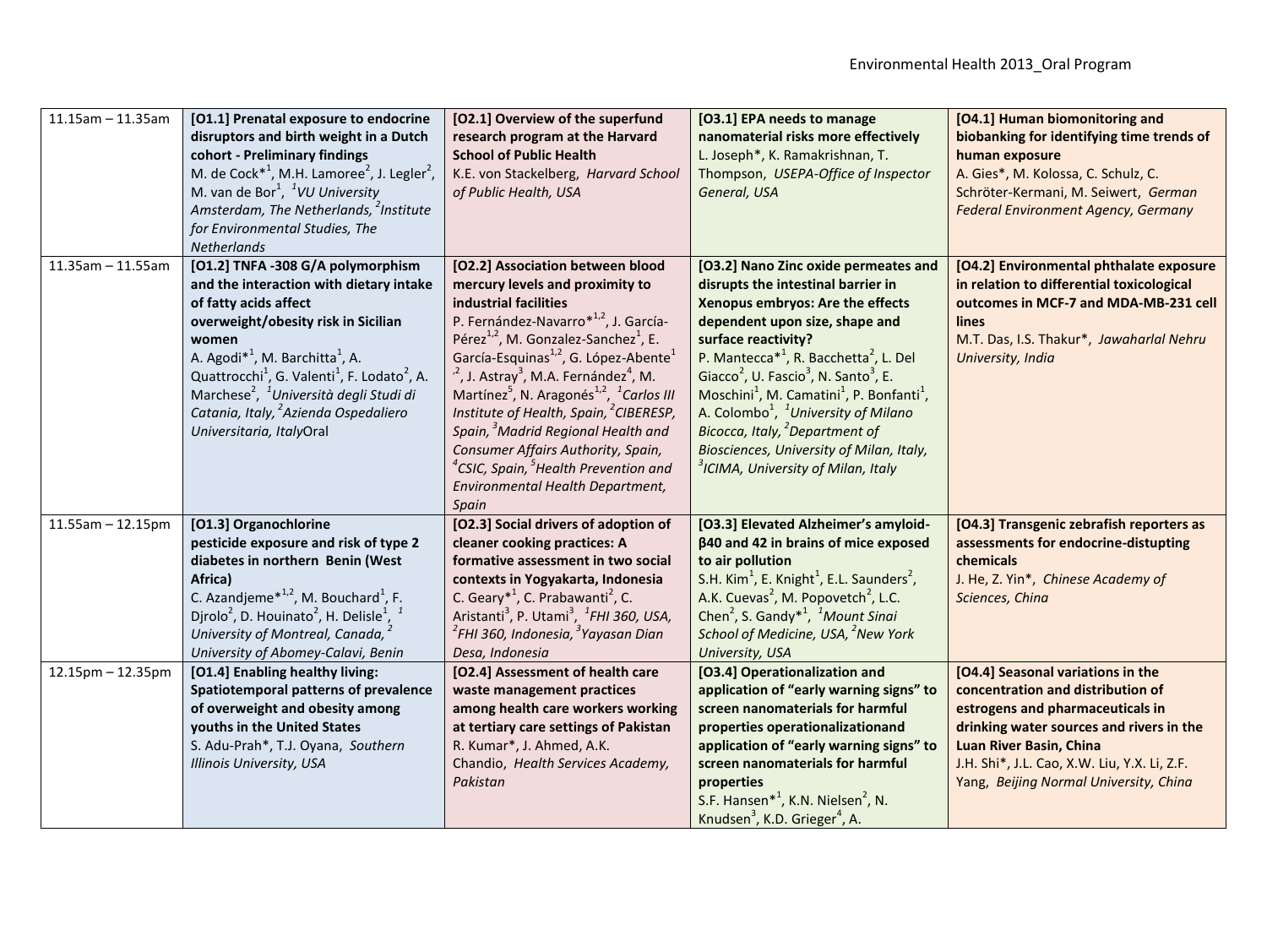| $11.15$ am - 11.35am | [O1.1] Prenatal exposure to endocrine<br>disruptors and birth weight in a Dutch<br>cohort - Preliminary findings<br>M. de Cock <sup>*1</sup> , M.H. Lamoree <sup>2</sup> , J. Legler <sup>2</sup> ,<br>M. van de Bor <sup>1</sup> , <sup>1</sup> VU University<br>Amsterdam, The Netherlands, <sup>2</sup> Institute<br>for Environmental Studies, The<br>Netherlands                                                                                  | [O2.1] Overview of the superfund<br>research program at the Harvard<br><b>School of Public Health</b><br>K.E. von Stackelberg, Harvard School<br>of Public Health, USA                                                                                                                                                                                                                                                                                                                                                                                                                                                                                                | [O3.1] EPA needs to manage<br>nanomaterial risks more effectively<br>L. Joseph*, K. Ramakrishnan, T.<br>Thompson, USEPA-Office of Inspector<br>General, USA                                                                                                                                                                                                                                                                                                                                                                                                                                                                     | [O4.1] Human biomonitoring and<br>biobanking for identifying time trends of<br>human exposure<br>A. Gies*, M. Kolossa, C. Schulz, C.<br>Schröter-Kermani, M. Seiwert, German<br><b>Federal Environment Agency, Germany</b>                                                  |
|----------------------|--------------------------------------------------------------------------------------------------------------------------------------------------------------------------------------------------------------------------------------------------------------------------------------------------------------------------------------------------------------------------------------------------------------------------------------------------------|-----------------------------------------------------------------------------------------------------------------------------------------------------------------------------------------------------------------------------------------------------------------------------------------------------------------------------------------------------------------------------------------------------------------------------------------------------------------------------------------------------------------------------------------------------------------------------------------------------------------------------------------------------------------------|---------------------------------------------------------------------------------------------------------------------------------------------------------------------------------------------------------------------------------------------------------------------------------------------------------------------------------------------------------------------------------------------------------------------------------------------------------------------------------------------------------------------------------------------------------------------------------------------------------------------------------|-----------------------------------------------------------------------------------------------------------------------------------------------------------------------------------------------------------------------------------------------------------------------------|
| $11.35$ am - 11.55am | [O1.2] TNFA -308 G/A polymorphism<br>and the interaction with dietary intake<br>of fatty acids affect<br>overweight/obesity risk in Sicilian<br>women<br>A. Agodi <sup>*1</sup> , M. Barchitta <sup>1</sup> , A.<br>Quattrocchi <sup>1</sup> , G. Valenti <sup>1</sup> , F. Lodato <sup>2</sup> , A.<br>Marchese <sup>2</sup> , <sup>1</sup> Università degli Studi di<br>Catania, Italy, <sup>2</sup> Azienda Ospedaliero<br>Universitaria, ItalyOral | [O2.2] Association between blood<br>mercury levels and proximity to<br>industrial facilities<br>P. Fernández-Navarro*1,2, J. García-<br>Pérez <sup>1,2</sup> , M. Gonzalez-Sanchez <sup>1</sup> , E.<br>García-Esquinas <sup>1,2</sup> , G. López-Abente <sup>1</sup><br>$n^2$ , J. Astray <sup>3</sup> , M.A. Fernández <sup>4</sup> , M.<br>Martínez <sup>5</sup> , N. Aragonés <sup>1,2</sup> , <sup>1</sup> Carlos III<br>Institute of Health, Spain, <sup>2</sup> CIBERESP,<br>Spain, <sup>3</sup> Madrid Regional Health and<br>Consumer Affairs Authority, Spain,<br>$^4$ CSIC, Spain, $^5$ Health Prevention and<br>Environmental Health Department,<br>Spain | [O3.2] Nano Zinc oxide permeates and<br>disrupts the intestinal barrier in<br>Xenopus embryos: Are the effects<br>dependent upon size, shape and<br>surface reactivity?<br>P. Mantecca <sup><math>*</math>1</sup> , R. Bacchetta <sup>2</sup> , L. Del<br>Giacco <sup>2</sup> , U. Fascio <sup>3</sup> , N. Santo <sup>3</sup> , E.<br>Moschini <sup>1</sup> , M. Camatini <sup>1</sup> , P. Bonfanti <sup>1</sup> ,<br>A. Colombo <sup>1</sup> , <sup>1</sup> University of Milano<br>Bicocca, Italy, <sup>2</sup> Department of<br>Biosciences, University of Milan, Italy,<br><sup>3</sup> ICIMA, University of Milan, Italy | [O4.2] Environmental phthalate exposure<br>in relation to differential toxicological<br>outcomes in MCF-7 and MDA-MB-231 cell<br><b>lines</b><br>M.T. Das, I.S. Thakur*, Jawaharlal Nehru<br>University, India                                                              |
| $11.55$ am - 12.15pm | [O1.3] Organochlorine<br>pesticide exposure and risk of type 2<br>diabetes in northern Benin (West<br>Africa)<br>C. Azandjeme $*^{1,2}$ , M. Bouchard <sup>1</sup> , F.<br>Djrolo <sup>2</sup> , D. Houinato <sup>2</sup> , H. Delisle <sup>1</sup> ,<br>University of Montreal, Canada, <sup>2</sup><br>University of Abomey-Calavi, Benin                                                                                                            | [O2.3] Social drivers of adoption of<br>cleaner cooking practices: A<br>formative assessment in two social<br>contexts in Yogyakarta, Indonesia<br>C. Geary <sup>*1</sup> , C. Prabawanti <sup>2</sup> , C.<br>Aristanti <sup>3</sup> , P. Utami <sup>3</sup> , <sup>1</sup> FHI 360, USA,<br><sup>2</sup> FHI 360, Indonesia, <sup>3</sup> Yayasan Dian<br>Desa, Indonesia                                                                                                                                                                                                                                                                                           | [O3.3] Elevated Alzheimer's amyloid-<br>β40 and 42 in brains of mice exposed<br>to air pollution<br>S.H. Kim <sup>1</sup> , E. Knight <sup>1</sup> , E.L. Saunders <sup>2</sup> ,<br>A.K. Cuevas <sup>2</sup> , M. Popovetch <sup>2</sup> , L.C.<br>Chen <sup>2</sup> , S. Gandy <sup>*1</sup> , <sup>1</sup> Mount Sinai<br>School of Medicine, USA, <sup>2</sup> New York<br>University, USA                                                                                                                                                                                                                                  | [O4.3] Transgenic zebrafish reporters as<br>assessments for endocrine-distupting<br>chemicals<br>J. He, Z. Yin*, Chinese Academy of<br>Sciences, China                                                                                                                      |
| 12.15pm - 12.35pm    | [O1.4] Enabling healthy living:<br>Spatiotemporal patterns of prevalence<br>of overweight and obesity among<br>youths in the United States<br>S. Adu-Prah*, T.J. Oyana, Southern<br>Illinois University, USA                                                                                                                                                                                                                                           | [O2.4] Assessment of health care<br>waste management practices<br>among health care workers working<br>at tertiary care settings of Pakistan<br>R. Kumar*, J. Ahmed, A.K.<br>Chandio, Health Services Academy,<br>Pakistan                                                                                                                                                                                                                                                                                                                                                                                                                                            | [O3.4] Operationalization and<br>application of "early warning signs" to<br>screen nanomaterials for harmful<br>properties operationalizationand<br>application of "early warning signs" to<br>screen nanomaterials for harmful<br>properties<br>S.F. Hansen <sup>*1</sup> , K.N. Nielsen <sup>2</sup> , N.<br>Knudsen <sup>3</sup> , K.D. Grieger <sup>4</sup> , A.                                                                                                                                                                                                                                                            | [O4.4] Seasonal variations in the<br>concentration and distribution of<br>estrogens and pharmaceuticals in<br>drinking water sources and rivers in the<br>Luan River Basin, China<br>J.H. Shi*, J.L. Cao, X.W. Liu, Y.X. Li, Z.F.<br>Yang, Beijing Normal University, China |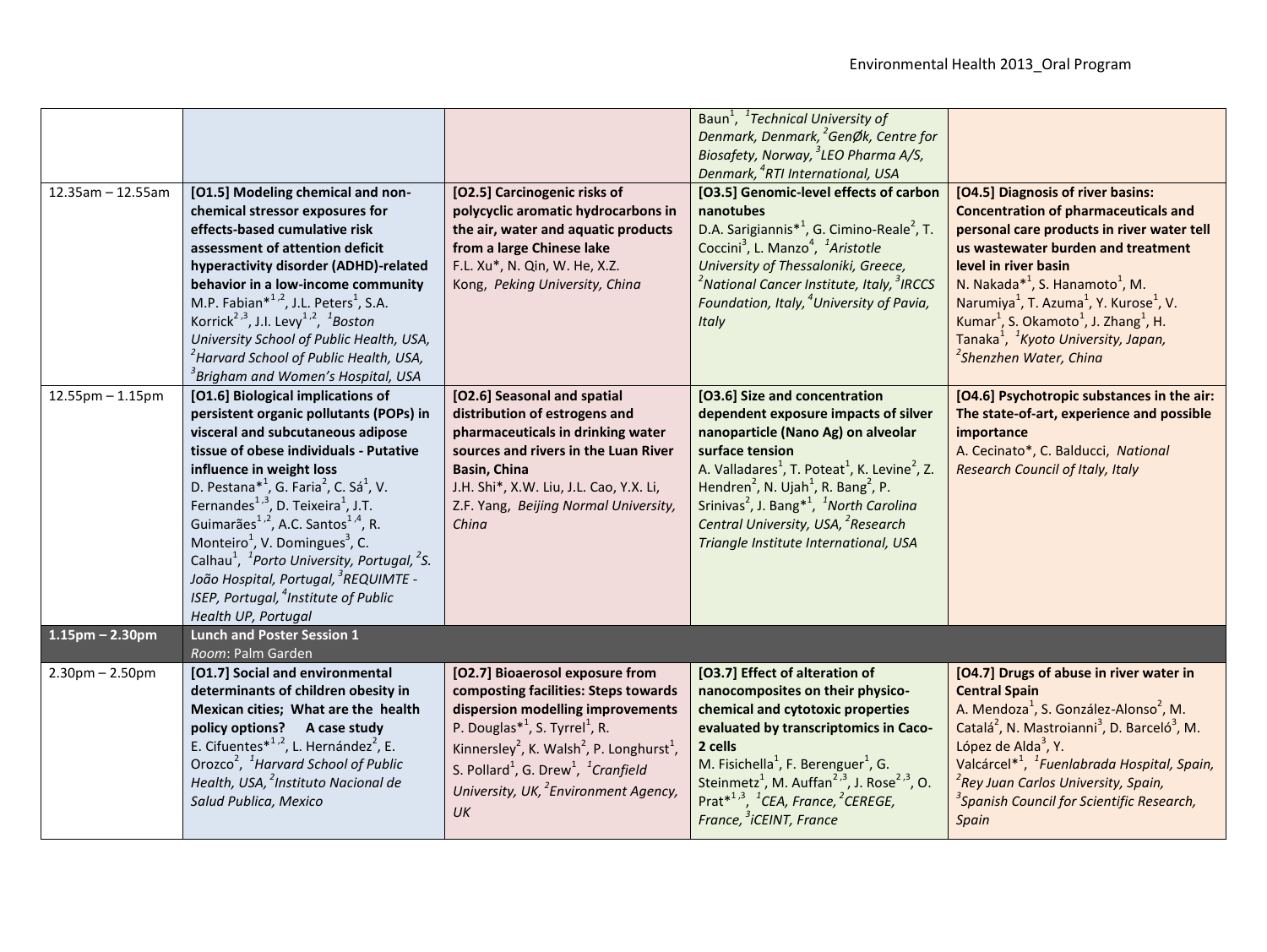|                        |                                                                                                                          |                                                                               | Baun <sup>1</sup> , <sup>1</sup> Technical University of                                                                                                 |                                                                                  |
|------------------------|--------------------------------------------------------------------------------------------------------------------------|-------------------------------------------------------------------------------|----------------------------------------------------------------------------------------------------------------------------------------------------------|----------------------------------------------------------------------------------|
|                        |                                                                                                                          |                                                                               | Denmark, Denmark, <sup>2</sup> GenØk, Centre for<br>Biosafety, Norway, <sup>3</sup> LEO Pharma A/S,                                                      |                                                                                  |
|                        |                                                                                                                          |                                                                               | Denmark, <sup>4</sup> RTI International, USA                                                                                                             |                                                                                  |
| $12.35am - 12.55am$    | [O1.5] Modeling chemical and non-                                                                                        | [O2.5] Carcinogenic risks of                                                  | [O3.5] Genomic-level effects of carbon                                                                                                                   | [O4.5] Diagnosis of river basins:                                                |
|                        | chemical stressor exposures for                                                                                          | polycyclic aromatic hydrocarbons in                                           | nanotubes                                                                                                                                                | <b>Concentration of pharmaceuticals and</b>                                      |
|                        | effects-based cumulative risk                                                                                            | the air, water and aquatic products                                           | D.A. Sarigiannis <sup>*1</sup> , G. Cimino-Reale <sup>2</sup> , T.                                                                                       | personal care products in river water tell                                       |
|                        | assessment of attention deficit                                                                                          | from a large Chinese lake                                                     | Coccini <sup>3</sup> , L. Manzo <sup>4</sup> , <sup>1</sup> Aristotle                                                                                    | us wastewater burden and treatment                                               |
|                        | hyperactivity disorder (ADHD)-related                                                                                    | F.L. Xu*, N. Qin, W. He, X.Z.                                                 | University of Thessaloniki, Greece,                                                                                                                      | level in river basin                                                             |
|                        | behavior in a low-income community                                                                                       | Kong, Peking University, China                                                | <sup>2</sup> National Cancer Institute, Italy, <sup>3</sup> IRCCS                                                                                        | N. Nakada* <sup>1</sup> , S. Hanamoto <sup>1</sup> , M.                          |
|                        | M.P. Fabian $*^{1,2}$ , J.L. Peters <sup>1</sup> , S.A.                                                                  |                                                                               | Foundation, Italy, <sup>4</sup> University of Pavia,                                                                                                     | Narumiya <sup>1</sup> , T. Azuma <sup>1</sup> , Y. Kurose <sup>1</sup> , V.      |
|                        | Korrick <sup>2,3</sup> , J.I. Levy <sup>1,2</sup> , <sup>1</sup> Boston                                                  |                                                                               | Italy                                                                                                                                                    | Kumar <sup>1</sup> , S. Okamoto <sup>1</sup> , J. Zhang <sup>1</sup> , H.        |
|                        | University School of Public Health, USA,                                                                                 |                                                                               |                                                                                                                                                          | Tanaka <sup>1</sup> , <sup>1</sup> Kyoto University, Japan,                      |
|                        | <sup>2</sup> Harvard School of Public Health, USA,                                                                       |                                                                               |                                                                                                                                                          | <sup>2</sup> Shenzhen Water, China                                               |
|                        | <sup>3</sup> Brigham and Women's Hospital, USA                                                                           |                                                                               |                                                                                                                                                          |                                                                                  |
| $12.55$ pm $- 1.15$ pm | [O1.6] Biological implications of                                                                                        | [O2.6] Seasonal and spatial                                                   | [O3.6] Size and concentration                                                                                                                            | [O4.6] Psychotropic substances in the air:                                       |
|                        | persistent organic pollutants (POPs) in                                                                                  | distribution of estrogens and                                                 | dependent exposure impacts of silver                                                                                                                     | The state-of-art, experience and possible                                        |
|                        | visceral and subcutaneous adipose                                                                                        | pharmaceuticals in drinking water                                             | nanoparticle (Nano Ag) on alveolar                                                                                                                       | importance                                                                       |
|                        | tissue of obese individuals - Putative                                                                                   | sources and rivers in the Luan River                                          | surface tension                                                                                                                                          | A. Cecinato*, C. Balducci, National                                              |
|                        | influence in weight loss                                                                                                 | Basin, China                                                                  | A. Valladares <sup>1</sup> , T. Poteat <sup>1</sup> , K. Levine <sup>2</sup> , Z.                                                                        | <b>Research Council of Italy, Italy</b>                                          |
|                        | D. Pestana* <sup>1</sup> , G. Faria <sup>2</sup> , C. Sá <sup>1</sup> , V.                                               | J.H. Shi*, X.W. Liu, J.L. Cao, Y.X. Li,                                       | Hendren <sup>2</sup> , N. Ujah <sup>1</sup> , R. Bang <sup>2</sup> , P.                                                                                  |                                                                                  |
|                        | Fernandes <sup>1,3</sup> , D. Teixeira <sup>1</sup> , J.T.<br>Guimarães <sup>1,2</sup> , A.C. Santos <sup>1,4</sup> , R. | Z.F. Yang, Beijing Normal University,                                         | Srinivas <sup>2</sup> , J. Bang <sup>*1</sup> , <sup>1</sup> North Carolina                                                                              |                                                                                  |
|                        | Monteiro <sup>1</sup> , V. Domingues <sup>3</sup> , C.                                                                   | China                                                                         | Central University, USA, <sup>2</sup> Research                                                                                                           |                                                                                  |
|                        | Calhau <sup>1</sup> , <sup>1</sup> Porto University, Portugal, $2$ S.                                                    |                                                                               | Triangle Institute International, USA                                                                                                                    |                                                                                  |
|                        | João Hospital, Portugal, <sup>3</sup> REQUIMTE -                                                                         |                                                                               |                                                                                                                                                          |                                                                                  |
|                        | ISEP, Portugal, <sup>4</sup> Institute of Public                                                                         |                                                                               |                                                                                                                                                          |                                                                                  |
|                        | Health UP, Portugal                                                                                                      |                                                                               |                                                                                                                                                          |                                                                                  |
| $1.15$ pm – 2.30pm     | <b>Lunch and Poster Session 1</b>                                                                                        |                                                                               |                                                                                                                                                          |                                                                                  |
|                        | Room: Palm Garden                                                                                                        |                                                                               |                                                                                                                                                          |                                                                                  |
| $2.30$ pm $- 2.50$ pm  | [O1.7] Social and environmental                                                                                          | [O2.7] Bioaerosol exposure from                                               | [O3.7] Effect of alteration of                                                                                                                           | [O4.7] Drugs of abuse in river water in                                          |
|                        | determinants of children obesity in                                                                                      | composting facilities: Steps towards                                          | nanocomposites on their physico-                                                                                                                         | <b>Central Spain</b>                                                             |
|                        | Mexican cities; What are the health                                                                                      | dispersion modelling improvements                                             | chemical and cytotoxic properties                                                                                                                        | A. Mendoza <sup>1</sup> , S. González-Alonso <sup>2</sup> , M.                   |
|                        | policy options? A case study                                                                                             | P. Douglas <sup><math>*</math><sup>1</sup>, S. Tyrrel<sup>1</sup>, R.</sup>   | evaluated by transcriptomics in Caco-                                                                                                                    | Catalá <sup>2</sup> , N. Mastroianni <sup>3</sup> , D. Barceló <sup>3</sup> , M. |
|                        | E. Cifuentes $*^{1,2}$ , L. Hernández <sup>2</sup> , E.                                                                  | Kinnersley <sup>2</sup> , K. Walsh <sup>2</sup> , P. Longhurst <sup>1</sup> , | 2 cells                                                                                                                                                  | López de Alda $3$ , Y.                                                           |
|                        | Orozco <sup>2</sup> , <sup>1</sup> Harvard School of Public                                                              | S. Pollard <sup>1</sup> , G. Drew <sup>1</sup> , <sup>1</sup> Cranfield       | M. Fisichella <sup>1</sup> , F. Berenguer <sup>1</sup> , G.                                                                                              | Valcárcel <sup>*1</sup> , <sup>1</sup> Fuenlabrada Hospital, Spain,              |
|                        | Health, USA, <sup>2</sup> Instituto Nacional de                                                                          | University, UK, <sup>2</sup> Environment Agency,                              | Steinmetz <sup>1</sup> , M. Auffan <sup>2,3</sup> , J. Rose <sup>2,3</sup> , O.<br>Prat <sup>*1,3</sup> , <sup>1</sup> CEA, France, <sup>2</sup> CEREGE, | <sup>2</sup> Rey Juan Carlos University, Spain,                                  |
|                        | Salud Publica, Mexico                                                                                                    | UK                                                                            | France, <sup>3</sup> iCEINT, France                                                                                                                      | <sup>3</sup> Spanish Council for Scientific Research,                            |
|                        |                                                                                                                          |                                                                               |                                                                                                                                                          | Spain                                                                            |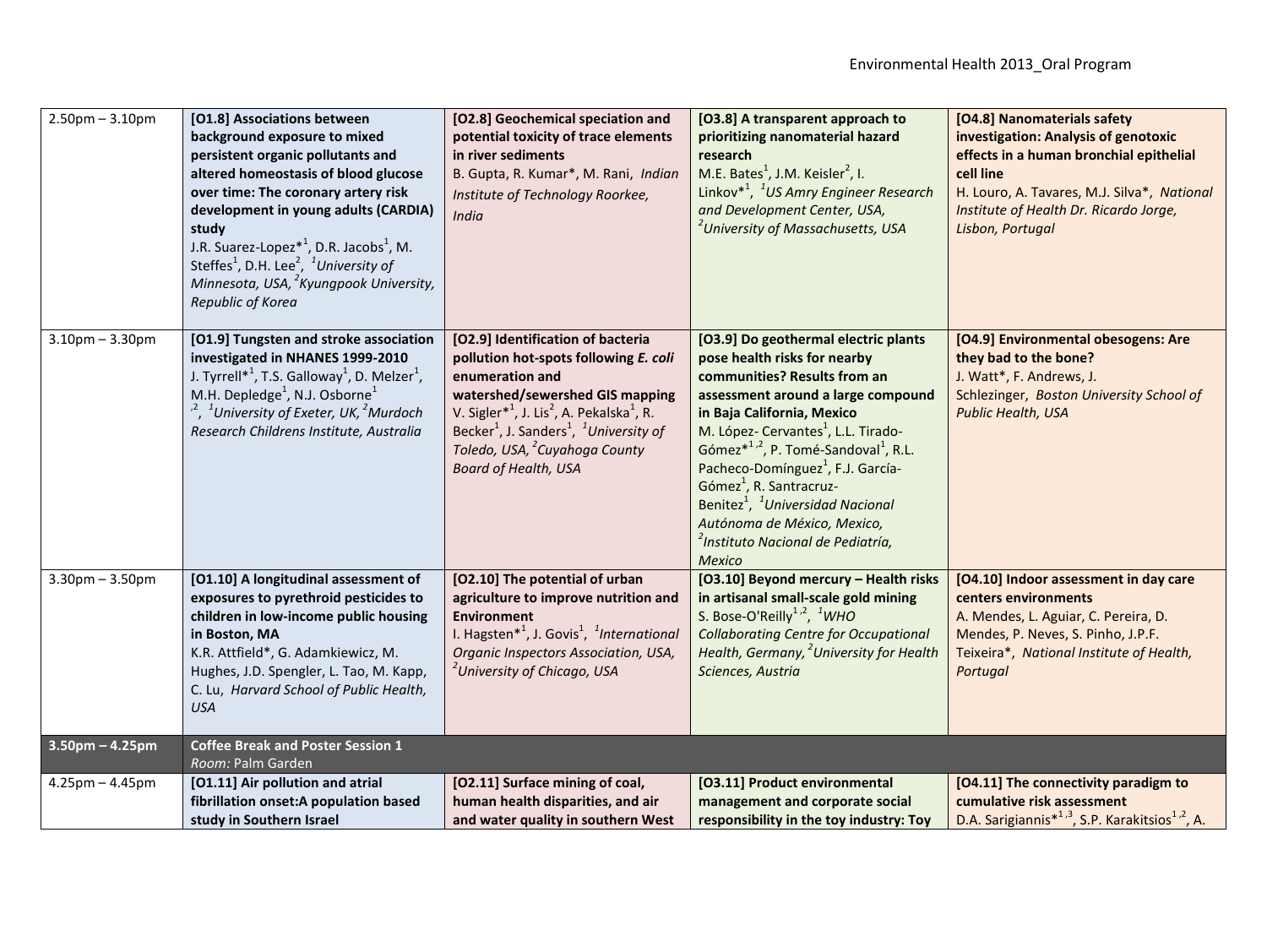| $2.50$ pm $- 3.10$ pm | [O1.8] Associations between<br>background exposure to mixed<br>persistent organic pollutants and<br>altered homeostasis of blood glucose<br>over time: The coronary artery risk<br>development in young adults (CARDIA)<br>study<br>J.R. Suarez-Lopez <sup><math>*</math>1</sup> , D.R. Jacobs <sup>1</sup> , M.<br>Steffes <sup>1</sup> , D.H. Lee <sup>2</sup> , <sup>1</sup> University of<br>Minnesota, USA, <sup>2</sup> Kyungpook University,<br>Republic of Korea | [O2.8] Geochemical speciation and<br>potential toxicity of trace elements<br>in river sediments<br>B. Gupta, R. Kumar*, M. Rani, Indian<br>Institute of Technology Roorkee,<br>India                                                                                                                                                                                        | [O3.8] A transparent approach to<br>prioritizing nanomaterial hazard<br>research<br>M.E. Bates <sup>1</sup> , J.M. Keisler <sup>2</sup> , I.<br>Linkov <sup>*1</sup> , <sup>1</sup> US Amry Engineer Research<br>and Development Center, USA,<br><sup>2</sup> University of Massachusetts, USA                                                                                                                                                                                                                                      | [O4.8] Nanomaterials safety<br>investigation: Analysis of genotoxic<br>effects in a human bronchial epithelial<br>cell line<br>H. Louro, A. Tavares, M.J. Silva*, National<br>Institute of Health Dr. Ricardo Jorge,<br>Lisbon, Portugal |
|-----------------------|--------------------------------------------------------------------------------------------------------------------------------------------------------------------------------------------------------------------------------------------------------------------------------------------------------------------------------------------------------------------------------------------------------------------------------------------------------------------------|-----------------------------------------------------------------------------------------------------------------------------------------------------------------------------------------------------------------------------------------------------------------------------------------------------------------------------------------------------------------------------|-------------------------------------------------------------------------------------------------------------------------------------------------------------------------------------------------------------------------------------------------------------------------------------------------------------------------------------------------------------------------------------------------------------------------------------------------------------------------------------------------------------------------------------|------------------------------------------------------------------------------------------------------------------------------------------------------------------------------------------------------------------------------------------|
| $3.10pm - 3.30pm$     | [O1.9] Tungsten and stroke association<br>investigated in NHANES 1999-2010<br>J. Tyrrell* <sup>1</sup> , T.S. Galloway <sup>1</sup> , D. Melzer <sup>1</sup> ,<br>M.H. Depledge <sup>1</sup> , N.J. Osborne <sup>1</sup><br><sup>,2</sup> , <sup>1</sup> University of Exeter, UK, <sup>2</sup> Murdoch<br>Research Childrens Institute, Australia                                                                                                                       | [O2.9] Identification of bacteria<br>pollution hot-spots following E. coli<br>enumeration and<br>watershed/sewershed GIS mapping<br>V. Sigler <sup>*1</sup> , J. Lis <sup>2</sup> , A. Pekalska <sup>1</sup> , R.<br>Becker <sup>1</sup> , J. Sanders <sup>1</sup> , <sup>1</sup> University of<br>Toledo, USA, <sup>2</sup> Cuyahoga County<br><b>Board of Health, USA</b> | [O3.9] Do geothermal electric plants<br>pose health risks for nearby<br>communities? Results from an<br>assessment around a large compound<br>in Baja California, Mexico<br>M. López- Cervantes <sup>1</sup> , L.L. Tirado-<br>Gómez $*^{1,2}$ , P. Tomé-Sandoval <sup>1</sup> , R.L.<br>Pacheco-Domínguez <sup>1</sup> , F.J. García-<br>Gómez <sup>1</sup> , R. Santracruz-<br>Benitez <sup>1</sup> , <sup>1</sup> Universidad Nacional<br>Autónoma de México, Mexico,<br><sup>2</sup> Instituto Nacional de Pediatría,<br>Mexico | [O4.9] Environmental obesogens: Are<br>they bad to the bone?<br>J. Watt*, F. Andrews, J.<br>Schlezinger, Boston University School of<br>Public Health, USA                                                                               |
| $3.30$ pm $-3.50$ pm  | [O1.10] A longitudinal assessment of<br>exposures to pyrethroid pesticides to<br>children in low-income public housing<br>in Boston, MA<br>K.R. Attfield*, G. Adamkiewicz, M.<br>Hughes, J.D. Spengler, L. Tao, M. Kapp,<br>C. Lu, Harvard School of Public Health,<br><b>USA</b>                                                                                                                                                                                        | [O2.10] The potential of urban<br>agriculture to improve nutrition and<br><b>Environment</b><br>I. Hagsten <sup>*1</sup> , J. Govis <sup>1</sup> , <sup>1</sup> International<br>Organic Inspectors Association, USA,<br><sup>2</sup> University of Chicago, USA                                                                                                            | [O3.10] Beyond mercury - Health risks<br>in artisanal small-scale gold mining<br>S. Bose-O'Reilly <sup>1,2</sup> , <sup>1</sup> WHO<br><b>Collaborating Centre for Occupational</b><br>Health, Germany, <sup>2</sup> University for Health<br>Sciences, Austria                                                                                                                                                                                                                                                                     | [04.10] Indoor assessment in day care<br>centers environments<br>A. Mendes, L. Aguiar, C. Pereira, D.<br>Mendes, P. Neves, S. Pinho, J.P.F.<br>Teixeira*, National Institute of Health,<br>Portugal                                      |
| $3.50$ pm – 4.25pm    | <b>Coffee Break and Poster Session 1</b><br>Room: Palm Garden                                                                                                                                                                                                                                                                                                                                                                                                            |                                                                                                                                                                                                                                                                                                                                                                             |                                                                                                                                                                                                                                                                                                                                                                                                                                                                                                                                     |                                                                                                                                                                                                                                          |
| $4.25$ pm $- 4.45$ pm | [O1.11] Air pollution and atrial<br>fibrillation onset:A population based<br>study in Southern Israel                                                                                                                                                                                                                                                                                                                                                                    | [O2.11] Surface mining of coal,<br>human health disparities, and air<br>and water quality in southern West                                                                                                                                                                                                                                                                  | [O3.11] Product environmental<br>management and corporate social<br>responsibility in the toy industry: Toy                                                                                                                                                                                                                                                                                                                                                                                                                         | [O4.11] The connectivity paradigm to<br>cumulative risk assessment<br>D.A. Sarigiannis <sup>*1,3</sup> , S.P. Karakitsios <sup>1,2</sup> , A.                                                                                            |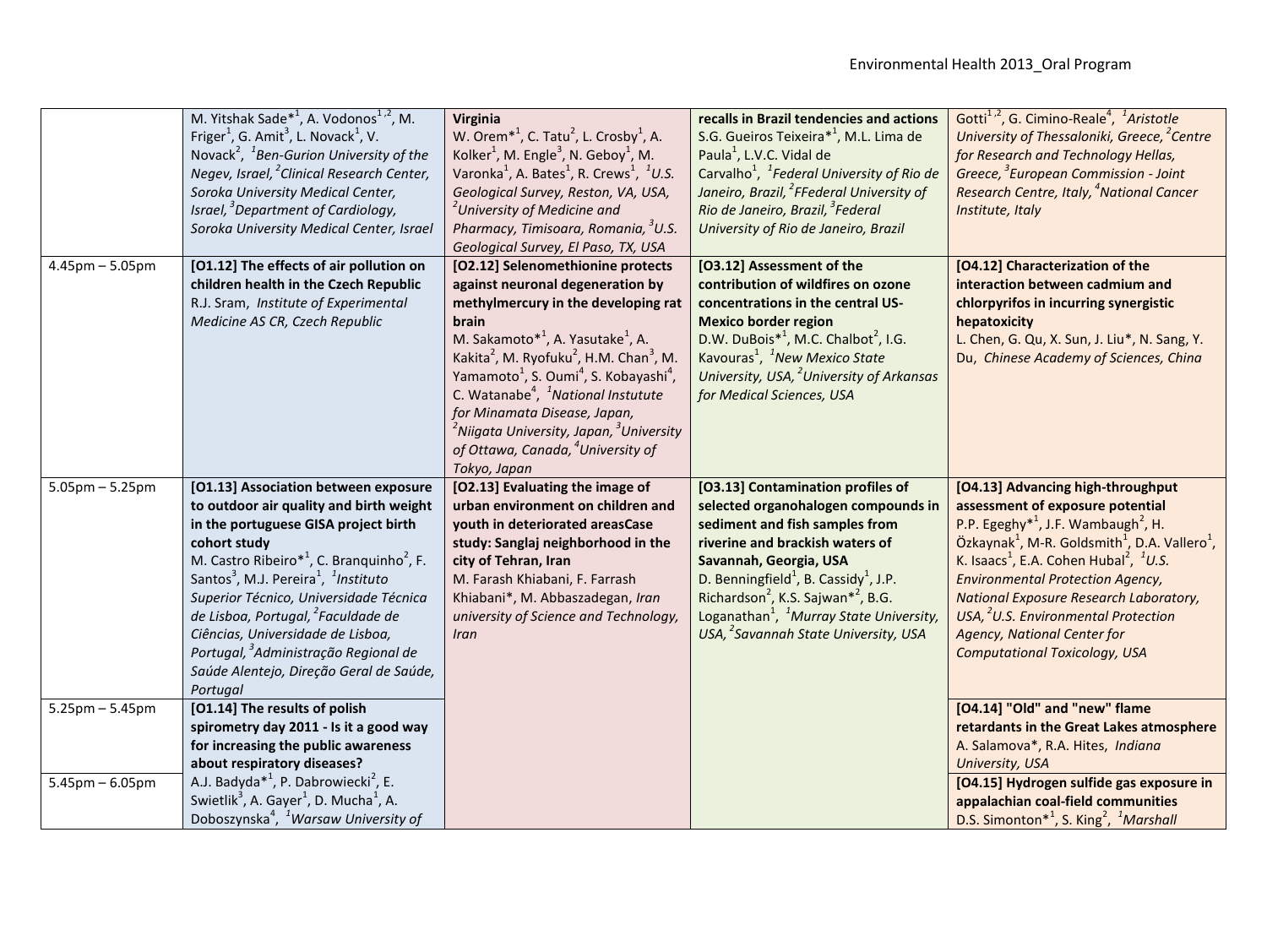|                                              | M. Yitshak Sade <sup>*1</sup> , A. Vodonos <sup>1,2</sup> , M.<br>Friger <sup>1</sup> , G. Amit <sup>3</sup> , L. Novack <sup>1</sup> , V.<br>Novack <sup>2</sup> , <sup>1</sup> Ben-Gurion University of the<br>Negev, Israel, <sup>2</sup> Clinical Research Center,<br>Soroka University Medical Center,<br>Israel, <sup>3</sup> Department of Cardiology,<br>Soroka University Medical Center, Israel                                                                                                                            | Virginia<br>W. Orem <sup>*1</sup> , C. Tatu <sup>2</sup> , L. Crosby <sup>1</sup> , A.<br>Kolker <sup>1</sup> , M. Engle <sup>3</sup> , N. Geboy <sup>1</sup> , M.<br>Varonka <sup>1</sup> , A. Bates <sup>1</sup> , R. Crews <sup>1</sup> , <sup>1</sup> U.S.<br>Geological Survey, Reston, VA, USA,<br><sup>2</sup> University of Medicine and<br>Pharmacy, Timisoara, Romania, <sup>3</sup> U.S.<br>Geological Survey, El Paso, TX, USA                                                                                                                                        | recalls in Brazil tendencies and actions<br>S.G. Gueiros Teixeira* <sup>1</sup> , M.L. Lima de<br>Paula <sup>1</sup> , L.V.C. Vidal de<br>Carvalho <sup>1</sup> , <sup>1</sup> Federal University of Rio de<br>Janeiro, Brazil, <sup>2</sup> FFederal University of<br>Rio de Janeiro, Brazil, <sup>3</sup> Federal<br>University of Rio de Janeiro, Brazil                                                                   | Gotti <sup>1,2</sup> , G. Cimino-Reale <sup>4</sup> , <sup>1</sup> Aristotle<br>University of Thessaloniki, Greece, <sup>2</sup> Centre<br>for Research and Technology Hellas,<br>Greece, <sup>3</sup> European Commission - Joint<br>Research Centre, Italy, <sup>4</sup> National Cancer<br>Institute, Italy                                                                                                                                                                                                                       |
|----------------------------------------------|--------------------------------------------------------------------------------------------------------------------------------------------------------------------------------------------------------------------------------------------------------------------------------------------------------------------------------------------------------------------------------------------------------------------------------------------------------------------------------------------------------------------------------------|-----------------------------------------------------------------------------------------------------------------------------------------------------------------------------------------------------------------------------------------------------------------------------------------------------------------------------------------------------------------------------------------------------------------------------------------------------------------------------------------------------------------------------------------------------------------------------------|-------------------------------------------------------------------------------------------------------------------------------------------------------------------------------------------------------------------------------------------------------------------------------------------------------------------------------------------------------------------------------------------------------------------------------|--------------------------------------------------------------------------------------------------------------------------------------------------------------------------------------------------------------------------------------------------------------------------------------------------------------------------------------------------------------------------------------------------------------------------------------------------------------------------------------------------------------------------------------|
| $4.45$ pm $- 5.05$ pm                        | [O1.12] The effects of air pollution on<br>children health in the Czech Republic<br>R.J. Sram, Institute of Experimental<br>Medicine AS CR, Czech Republic                                                                                                                                                                                                                                                                                                                                                                           | [O2.12] Selenomethionine protects<br>against neuronal degeneration by<br>methylmercury in the developing rat<br>brain<br>M. Sakamoto <sup>*1</sup> , A. Yasutake <sup>1</sup> , A.<br>Kakita <sup>2</sup> , M. Ryofuku <sup>2</sup> , H.M. Chan <sup>3</sup> , M.<br>Yamamoto <sup>1</sup> , S. Oumi <sup>4</sup> , S. Kobayashi <sup>4</sup> ,<br>C. Watanabe <sup>4</sup> , <sup>1</sup> National Instutute<br>for Minamata Disease, Japan,<br><sup>2</sup> Niigata University, Japan, <sup>3</sup> University<br>of Ottawa, Canada, <sup>4</sup> University of<br>Tokyo, Japan | [O3.12] Assessment of the<br>contribution of wildfires on ozone<br>concentrations in the central US-<br><b>Mexico border region</b><br>D.W. DuBois $*^1$ , M.C. Chalbot <sup>2</sup> , I.G.<br>Kavouras <sup>1</sup> , <sup>1</sup> New Mexico State<br>University, USA, <sup>2</sup> University of Arkansas<br>for Medical Sciences, USA                                                                                     | [O4.12] Characterization of the<br>interaction between cadmium and<br>chlorpyrifos in incurring synergistic<br>hepatoxicity<br>L. Chen, G. Qu, X. Sun, J. Liu*, N. Sang, Y.<br>Du, Chinese Academy of Sciences, China                                                                                                                                                                                                                                                                                                                |
| $5.05$ pm $-5.25$ pm                         | [O1.13] Association between exposure<br>to outdoor air quality and birth weight<br>in the portuguese GISA project birth<br>cohort study<br>M. Castro Ribeiro <sup>*1</sup> , C. Branquinho <sup>2</sup> , F.<br>Santos <sup>3</sup> , M.J. Pereira <sup>1</sup> , <sup>1</sup> Instituto<br>Superior Técnico, Universidade Técnica<br>de Lisboa, Portugal, <sup>2</sup> Faculdade de<br>Ciências, Universidade de Lisboa,<br>Portugal, <sup>3</sup> Administração Regional de<br>Saúde Alentejo, Direção Geral de Saúde,<br>Portugal | [O2.13] Evaluating the image of<br>urban environment on children and<br>youth in deteriorated areasCase<br>study: Sanglaj neighborhood in the<br>city of Tehran, Iran<br>M. Farash Khiabani, F. Farrash<br>Khiabani*, M. Abbaszadegan, Iran<br>university of Science and Technology,<br><b>Iran</b>                                                                                                                                                                                                                                                                               | [O3.13] Contamination profiles of<br>selected organohalogen compounds in<br>sediment and fish samples from<br>riverine and brackish waters of<br>Savannah, Georgia, USA<br>D. Benningfield <sup>1</sup> , B. Cassidy <sup>1</sup> , J.P.<br>Richardson <sup>2</sup> , K.S. Sajwan <sup>*2</sup> , B.G.<br>Loganathan <sup>1</sup> , <sup>1</sup> Murray State University,<br>USA, <sup>2</sup> Savannah State University, USA | [O4.13] Advancing high-throughput<br>assessment of exposure potential<br>P.P. Egeghy <sup>*1</sup> , J.F. Wambaugh <sup>2</sup> , H.<br>Özkaynak <sup>1</sup> , M-R. Goldsmith <sup>1</sup> , D.A. Vallero <sup>1</sup> ,<br>K. Isaacs <sup>1</sup> , E.A. Cohen Hubal <sup>2</sup> , <sup>1</sup> U.S.<br><b>Environmental Protection Agency,</b><br><b>National Exposure Research Laboratory,</b><br>USA, <sup>2</sup> U.S. Environmental Protection<br><b>Agency, National Center for</b><br><b>Computational Toxicology, USA</b> |
| $5.25$ pm $-5.45$ pm<br>$5.45$ pm $-6.05$ pm | [O1.14] The results of polish<br>spirometry day 2011 - Is it a good way<br>for increasing the public awareness<br>about respiratory diseases?<br>A.J. Badyda <sup>*1</sup> , P. Dabrowiecki <sup>2</sup> , E.<br>Swietlik <sup>3</sup> , A. Gayer <sup>1</sup> , D. Mucha <sup>1</sup> , A.<br>Doboszynska <sup>4</sup> , <sup>1</sup> Warsaw University of                                                                                                                                                                          |                                                                                                                                                                                                                                                                                                                                                                                                                                                                                                                                                                                   |                                                                                                                                                                                                                                                                                                                                                                                                                               | [O4.14] "Old" and "new" flame<br>retardants in the Great Lakes atmosphere<br>A. Salamova*, R.A. Hites, Indiana<br>University, USA<br>[O4.15] Hydrogen sulfide gas exposure in<br>appalachian coal-field communities<br>D.S. Simonton <sup>*1</sup> , S. King <sup>2</sup> , <sup>1</sup> Marshall                                                                                                                                                                                                                                    |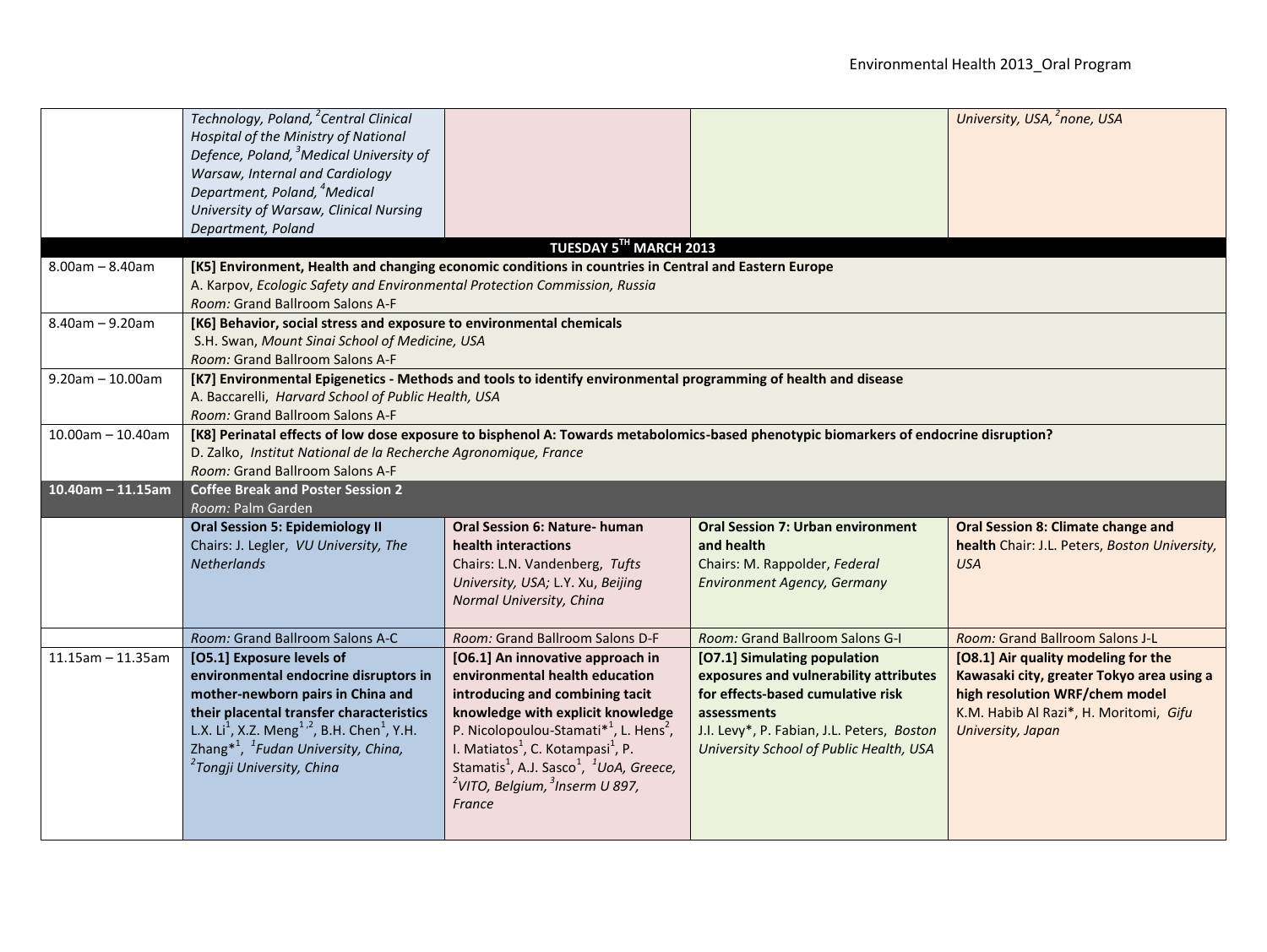|                         | Technology, Poland, <sup>2</sup> Central Clinical<br>Hospital of the Ministry of National<br>Defence, Poland, <sup>3</sup> Medical University of<br>Warsaw, Internal and Cardiology<br>Department, Poland, <sup>4</sup> Medical<br>University of Warsaw, Clinical Nursing<br>Department, Poland                                                |                                                                                                                                                                                                                                                                                                                                                                                                            |                                                                                                                                                                                                                     | University, USA, 2none, USA                                                                                                                                                       |
|-------------------------|------------------------------------------------------------------------------------------------------------------------------------------------------------------------------------------------------------------------------------------------------------------------------------------------------------------------------------------------|------------------------------------------------------------------------------------------------------------------------------------------------------------------------------------------------------------------------------------------------------------------------------------------------------------------------------------------------------------------------------------------------------------|---------------------------------------------------------------------------------------------------------------------------------------------------------------------------------------------------------------------|-----------------------------------------------------------------------------------------------------------------------------------------------------------------------------------|
|                         |                                                                                                                                                                                                                                                                                                                                                | TUESDAY 5TH MARCH 2013                                                                                                                                                                                                                                                                                                                                                                                     |                                                                                                                                                                                                                     |                                                                                                                                                                                   |
| $8.00am - 8.40am$       | [K5] Environment, Health and changing economic conditions in countries in Central and Eastern Europe<br>A. Karpov, Ecologic Safety and Environmental Protection Commission, Russia<br>Room: Grand Ballroom Salons A-F                                                                                                                          |                                                                                                                                                                                                                                                                                                                                                                                                            |                                                                                                                                                                                                                     |                                                                                                                                                                                   |
| $8.40$ am $- 9.20$ am   | [K6] Behavior, social stress and exposure to environmental chemicals<br>S.H. Swan, Mount Sinai School of Medicine, USA<br>Room: Grand Ballroom Salons A-F                                                                                                                                                                                      |                                                                                                                                                                                                                                                                                                                                                                                                            |                                                                                                                                                                                                                     |                                                                                                                                                                                   |
| $9.20$ am $- 10.00$ am  | [K7] Environmental Epigenetics - Methods and tools to identify environmental programming of health and disease<br>A. Baccarelli, Harvard School of Public Health, USA<br>Room: Grand Ballroom Salons A-F                                                                                                                                       |                                                                                                                                                                                                                                                                                                                                                                                                            |                                                                                                                                                                                                                     |                                                                                                                                                                                   |
| $10.00$ am - 10.40am    | [K8] Perinatal effects of low dose exposure to bisphenol A: Towards metabolomics-based phenotypic biomarkers of endocrine disruption?<br>D. Zalko, Institut National de la Recherche Agronomique, France<br>Room: Grand Ballroom Salons A-F                                                                                                    |                                                                                                                                                                                                                                                                                                                                                                                                            |                                                                                                                                                                                                                     |                                                                                                                                                                                   |
| $10.40$ am - 11.15am    | <b>Coffee Break and Poster Session 2</b><br>Room: Palm Garden                                                                                                                                                                                                                                                                                  |                                                                                                                                                                                                                                                                                                                                                                                                            |                                                                                                                                                                                                                     |                                                                                                                                                                                   |
|                         | <b>Oral Session 5: Epidemiology II</b><br>Chairs: J. Legler, VU University, The<br><b>Netherlands</b>                                                                                                                                                                                                                                          | <b>Oral Session 6: Nature- human</b><br>health interactions<br>Chairs: L.N. Vandenberg, Tufts<br>University, USA; L.Y. Xu, Beijing<br>Normal University, China                                                                                                                                                                                                                                             | <b>Oral Session 7: Urban environment</b><br>and health<br>Chairs: M. Rappolder, Federal<br><b>Environment Agency, Germany</b>                                                                                       | <b>Oral Session 8: Climate change and</b><br>health Chair: J.L. Peters, Boston University,<br><b>USA</b>                                                                          |
|                         | Room: Grand Ballroom Salons A-C                                                                                                                                                                                                                                                                                                                | Room: Grand Ballroom Salons D-F                                                                                                                                                                                                                                                                                                                                                                            | Room: Grand Ballroom Salons G-I                                                                                                                                                                                     | Room: Grand Ballroom Salons J-L                                                                                                                                                   |
| $11.15$ am - $11.35$ am | [O5.1] Exposure levels of<br>environmental endocrine disruptors in<br>mother-newborn pairs in China and<br>their placental transfer characteristics<br>L.X. Li <sup>1</sup> , X.Z. Meng <sup>1,2</sup> , B.H. Chen <sup>1</sup> , Y.H.<br>Zhang* <sup>1</sup> , <sup>1</sup> Fudan University, China,<br><sup>2</sup> Tongji University, China | [O6.1] An innovative approach in<br>environmental health education<br>introducing and combining tacit<br>knowledge with explicit knowledge<br>P. Nicolopoulou-Stamati* <sup>1</sup> , L. Hens <sup>2</sup> ,<br>I. Matiatos <sup>1</sup> , C. Kotampasi <sup>1</sup> , P.<br>Stamatis <sup>1</sup> , A.J. Sasco <sup>1</sup> , <sup>1</sup> UoA, Greece,<br>$2$ VITO, Belgium, $3$ Inserm U 897,<br>France | [O7.1] Simulating population<br>exposures and vulnerability attributes<br>for effects-based cumulative risk<br>assessments<br>J.I. Levy*, P. Fabian, J.L. Peters, Boston<br>University School of Public Health, USA | [O8.1] Air quality modeling for the<br>Kawasaki city, greater Tokyo area using a<br>high resolution WRF/chem model<br>K.M. Habib Al Razi*, H. Moritomi, Gifu<br>University, Japan |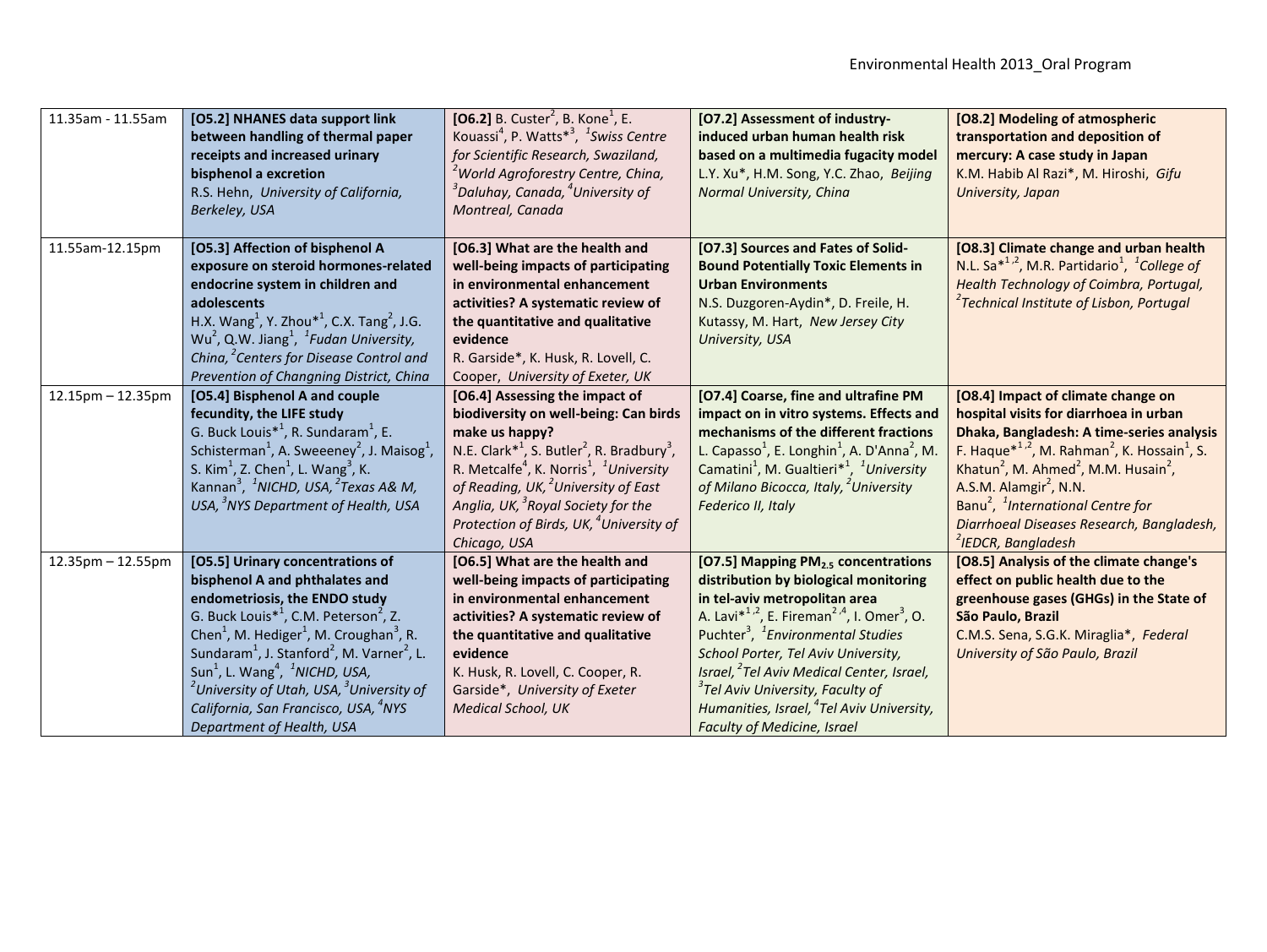| 11.35am - 11.55am       | [O5.2] NHANES data support link<br>between handling of thermal paper<br>receipts and increased urinary<br>bisphenol a excretion<br>R.S. Hehn, University of California,<br>Berkeley, USA                                                                                                                                                                                                                                                                                                                                                                         | [06.2] B. Custer <sup>2</sup> , B. Kone <sup>1</sup> , E.<br>Kouassi <sup>4</sup> , P. Watts <sup>*3</sup> , <sup>1</sup> Swiss Centre<br>for Scientific Research, Swaziland,<br><sup>2</sup> World Agroforestry Centre, China,<br>$^3$ Daluhay, Canada, $^4$ University of<br>Montreal, Canada                                                                                                                                        | [O7.2] Assessment of industry-<br>induced urban human health risk<br>based on a multimedia fugacity model<br>L.Y. Xu*, H.M. Song, Y.C. Zhao, Beijing<br>Normal University, China                                                                                                                                                                                                                                                                                                                                 | [O8.2] Modeling of atmospheric<br>transportation and deposition of<br>mercury: A case study in Japan<br>K.M. Habib Al Razi*, M. Hiroshi, Gifu<br>University, Japan                                                                                                                                                                                                                                                                                                          |
|-------------------------|------------------------------------------------------------------------------------------------------------------------------------------------------------------------------------------------------------------------------------------------------------------------------------------------------------------------------------------------------------------------------------------------------------------------------------------------------------------------------------------------------------------------------------------------------------------|----------------------------------------------------------------------------------------------------------------------------------------------------------------------------------------------------------------------------------------------------------------------------------------------------------------------------------------------------------------------------------------------------------------------------------------|------------------------------------------------------------------------------------------------------------------------------------------------------------------------------------------------------------------------------------------------------------------------------------------------------------------------------------------------------------------------------------------------------------------------------------------------------------------------------------------------------------------|-----------------------------------------------------------------------------------------------------------------------------------------------------------------------------------------------------------------------------------------------------------------------------------------------------------------------------------------------------------------------------------------------------------------------------------------------------------------------------|
| 11.55am-12.15pm         | [O5.3] Affection of bisphenol A<br>exposure on steroid hormones-related<br>endocrine system in children and<br>adolescents<br>H.X. Wang <sup>1</sup> , Y. Zhou <sup>*1</sup> , C.X. Tang <sup>2</sup> , J.G.<br>Wu <sup>2</sup> , Q.W. Jiang <sup>1</sup> , <sup>1</sup> Fudan University,<br>China, <sup>2</sup> Centers for Disease Control and<br>Prevention of Changning District, China                                                                                                                                                                     | [O6.3] What are the health and<br>well-being impacts of participating<br>in environmental enhancement<br>activities? A systematic review of<br>the quantitative and qualitative<br>evidence<br>R. Garside*, K. Husk, R. Lovell, C.<br>Cooper, University of Exeter, UK                                                                                                                                                                 | [O7.3] Sources and Fates of Solid-<br><b>Bound Potentially Toxic Elements in</b><br><b>Urban Environments</b><br>N.S. Duzgoren-Aydin*, D. Freile, H.<br>Kutassy, M. Hart, New Jersey City<br>University, USA                                                                                                                                                                                                                                                                                                     | [O8.3] Climate change and urban health<br>N.L. Sa $*^{1,2}$ , M.R. Partidario <sup>1</sup> , <sup>1</sup> College of<br>Health Technology of Coimbra, Portugal,<br><sup>2</sup> Technical Institute of Lisbon, Portugal                                                                                                                                                                                                                                                     |
| $12.15$ pm $- 12.35$ pm | [O5.4] Bisphenol A and couple<br>fecundity, the LIFE study<br>G. Buck Louis <sup>*1</sup> , R. Sundaram <sup>1</sup> , E.<br>Schisterman <sup>1</sup> , A. Sweeeney <sup>2</sup> , J. Maisog <sup>1</sup> ,<br>S. Kim <sup>1</sup> , Z. Chen <sup>1</sup> , L. Wang <sup>3</sup> , K.<br>Kannan <sup>3</sup> , <sup>1</sup> NICHD, USA, <sup>2</sup> Texas A& M,<br>USA, <sup>3</sup> NYS Department of Health, USA                                                                                                                                              | [O6.4] Assessing the impact of<br>biodiversity on well-being: Can birds<br>make us happy?<br>N.E. Clark <sup>*1</sup> , S. Butler <sup>2</sup> , R. Bradbury <sup>3</sup> ,<br>R. Metcalfe <sup>4</sup> , K. Norris <sup>1</sup> , <sup>1</sup> University<br>of Reading, UK, <sup>2</sup> University of East<br>Anglia, UK, <sup>3</sup> Royal Society for the<br>Protection of Birds, UK, <sup>4</sup> University of<br>Chicago, USA | [O7.4] Coarse, fine and ultrafine PM<br>impact on in vitro systems. Effects and<br>mechanisms of the different fractions<br>L. Capasso <sup>1</sup> , E. Longhin <sup>1</sup> , A. D'Anna <sup>2</sup> , M.<br>Camatini <sup>1</sup> , M. Gualtieri <sup>*1</sup> , <sup>1</sup> University<br>of Milano Bicocca, Italy, <sup>2</sup> University<br>Federico II, Italy                                                                                                                                           | [O8.4] Impact of climate change on<br>hospital visits for diarrhoea in urban<br>Dhaka, Bangladesh: A time-series analysis<br>F. Haque <sup>*1,2</sup> , M. Rahman <sup>2</sup> , K. Hossain <sup>1</sup> , S.<br>Khatun <sup>2</sup> , M. Ahmed <sup>2</sup> , M.M. Husain <sup>2</sup> ,<br>A.S.M. Alamgir <sup>2</sup> , N.N.<br>Banu <sup>2</sup> , <sup>1</sup> International Centre for<br>Diarrhoeal Diseases Research, Bangladesh,<br><sup>2</sup> IEDCR, Bangladesh |
| 12.35pm - 12.55pm       | [O5.5] Urinary concentrations of<br>bisphenol A and phthalates and<br>endometriosis, the ENDO study<br>G. Buck Louis <sup>*1</sup> , C.M. Peterson <sup>2</sup> , Z.<br>Chen <sup>1</sup> , M. Hediger <sup>1</sup> , M. Croughan <sup>3</sup> , R.<br>Sundaram <sup>1</sup> , J. Stanford <sup>2</sup> , M. Varner <sup>2</sup> , L.<br>Sun <sup>1</sup> , L. Wang <sup>4</sup> , <sup>1</sup> NICHD, USA,<br><sup>2</sup> University of Utah, USA, <sup>3</sup> University of<br>California, San Francisco, USA, <sup>4</sup> NYS<br>Department of Health, USA | [O6.5] What are the health and<br>well-being impacts of participating<br>in environmental enhancement<br>activities? A systematic review of<br>the quantitative and qualitative<br>evidence<br>K. Husk, R. Lovell, C. Cooper, R.<br>Garside*, University of Exeter<br><b>Medical School, UK</b>                                                                                                                                        | [O7.5] Mapping PM <sub>2.5</sub> concentrations<br>distribution by biological monitoring<br>in tel-aviv metropolitan area<br>A. Lavi <sup>*1,2</sup> , E. Fireman <sup>2,4</sup> , I. Omer <sup>3</sup> , O.<br>Puchter <sup>3</sup> , <sup>1</sup> Environmental Studies<br>School Porter, Tel Aviv University,<br>Israel, <sup>2</sup> Tel Aviv Medical Center, Israel,<br>$^3$ Tel Aviv University, Faculty of<br>Humanities, Israel, <sup>4</sup> Tel Aviv University,<br><b>Faculty of Medicine, Israel</b> | [O8.5] Analysis of the climate change's<br>effect on public health due to the<br>greenhouse gases (GHGs) in the State of<br>São Paulo, Brazil<br>C.M.S. Sena, S.G.K. Miraglia*, Federal<br>University of São Paulo, Brazil                                                                                                                                                                                                                                                  |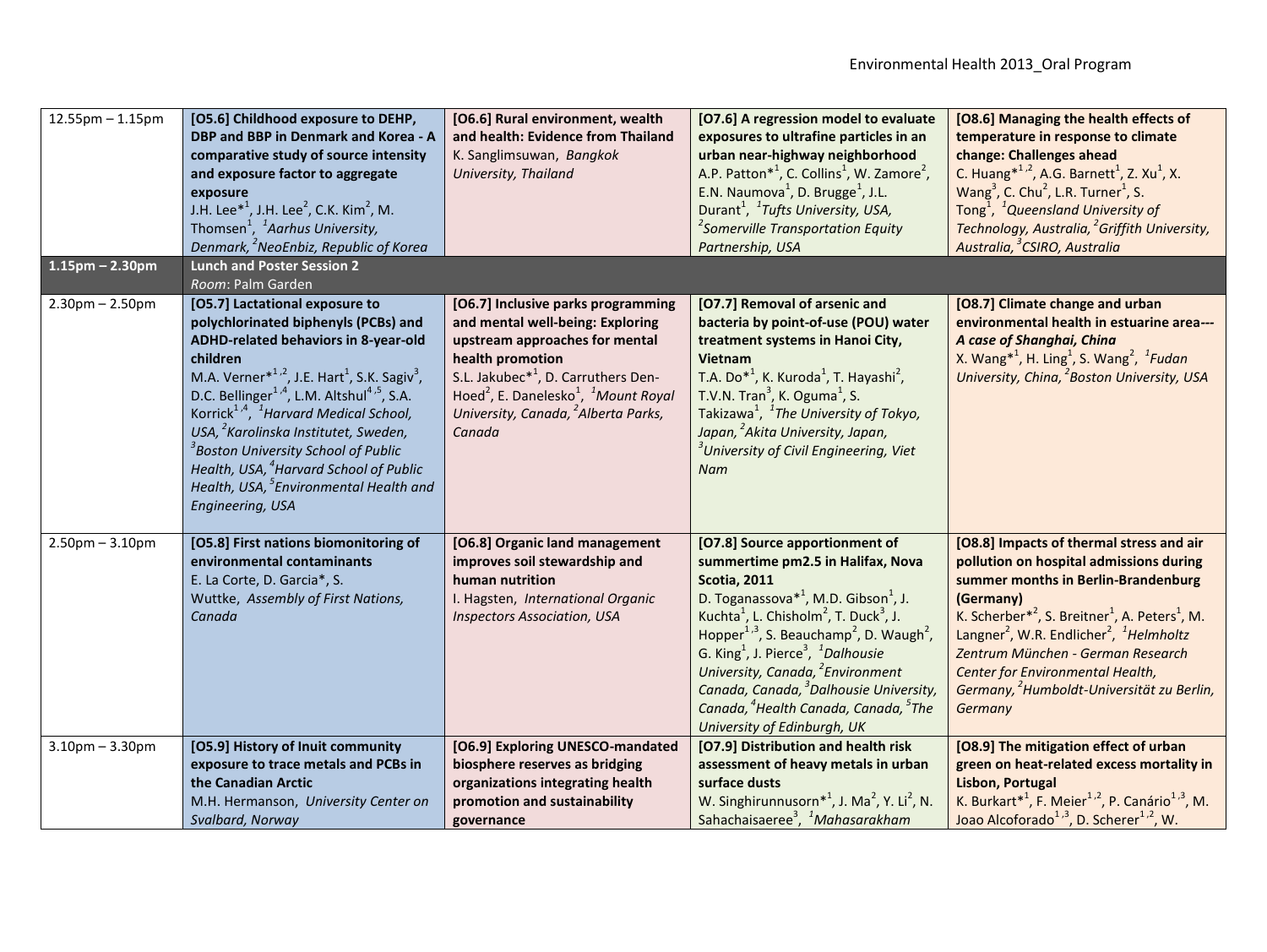| $12.55$ pm $- 1.15$ pm<br>$1.15$ pm – 2.30pm | [O5.6] Childhood exposure to DEHP,<br><b>DBP and BBP in Denmark and Korea - A</b><br>comparative study of source intensity<br>and exposure factor to aggregate<br>exposure<br>J.H. Lee <sup>*1</sup> , J.H. Lee <sup>2</sup> , C.K. Kim <sup>2</sup> , M.<br>Thomsen <sup>1</sup> , <sup>1</sup> Aarhus University,<br>Denmark, <sup>2</sup> NeoEnbiz, Republic of Korea<br><b>Lunch and Poster Session 2</b>                                                                                                                                                                                                     | [O6.6] Rural environment, wealth<br>and health: Evidence from Thailand<br>K. Sanglimsuwan, Bangkok<br>University, Thailand                                                                                                                                                                                               | [O7.6] A regression model to evaluate<br>exposures to ultrafine particles in an<br>urban near-highway neighborhood<br>A.P. Patton* <sup>1</sup> , C. Collins <sup>1</sup> , W. Zamore <sup>2</sup> ,<br>E.N. Naumova <sup>1</sup> , D. Brugge <sup>1</sup> , J.L.<br>Durant <sup>1</sup> , <sup>1</sup> Tufts University, USA,<br><sup>2</sup> Somerville Transportation Equity<br>Partnership, USA                                                                                                                                                                                            | [O8.6] Managing the health effects of<br>temperature in response to climate<br>change: Challenges ahead<br>C. Huang*1,2, A.G. Barnett <sup>1</sup> , Z. Xu <sup>1</sup> , X.<br>Wang <sup>3</sup> , C. Chu <sup>2</sup> , L.R. Turner <sup>1</sup> , S.<br>Tong <sup>1</sup> , <sup>1</sup> Queensland University of<br>Technology, Australia, <sup>2</sup> Griffith University,<br>Australia, <sup>3</sup> CSIRO, Australia                              |
|----------------------------------------------|-------------------------------------------------------------------------------------------------------------------------------------------------------------------------------------------------------------------------------------------------------------------------------------------------------------------------------------------------------------------------------------------------------------------------------------------------------------------------------------------------------------------------------------------------------------------------------------------------------------------|--------------------------------------------------------------------------------------------------------------------------------------------------------------------------------------------------------------------------------------------------------------------------------------------------------------------------|------------------------------------------------------------------------------------------------------------------------------------------------------------------------------------------------------------------------------------------------------------------------------------------------------------------------------------------------------------------------------------------------------------------------------------------------------------------------------------------------------------------------------------------------------------------------------------------------|-----------------------------------------------------------------------------------------------------------------------------------------------------------------------------------------------------------------------------------------------------------------------------------------------------------------------------------------------------------------------------------------------------------------------------------------------------------|
| $2.30$ pm $- 2.50$ pm                        | Room: Palm Garden<br>[O5.7] Lactational exposure to<br>polychlorinated biphenyls (PCBs) and<br>ADHD-related behaviors in 8-year-old<br>children<br>M.A. Verner <sup>*1,2</sup> , J.E. Hart <sup>1</sup> , S.K. Sagiv <sup>3</sup> ,<br>D.C. Bellinger <sup>1,4</sup> , L.M. Altshul <sup>4,5</sup> , S.A.<br>Korrick <sup>1,4</sup> , <sup>1</sup> Harvard Medical School,<br>USA, <sup>2</sup> Karolinska Institutet, Sweden,<br><sup>3</sup> Boston University School of Public<br>Health, USA, <sup>4</sup> Harvard School of Public<br>Health, USA, <sup>5</sup> Environmental Health and<br>Engineering, USA | [O6.7] Inclusive parks programming<br>and mental well-being: Exploring<br>upstream approaches for mental<br>health promotion<br>S.L. Jakubec* <sup>1</sup> , D. Carruthers Den-<br>Hoed <sup>2</sup> , E. Danelesko <sup>1</sup> , <sup>1</sup> Mount Royal<br>University, Canada, <sup>2</sup> Alberta Parks,<br>Canada | [O7.7] Removal of arsenic and<br>bacteria by point-of-use (POU) water<br>treatment systems in Hanoi City,<br>Vietnam<br>T.A. Do <sup>*1</sup> , K. Kuroda <sup>1</sup> , T. Hayashi <sup>2</sup> ,<br>T.V.N. Tran <sup>3</sup> , K. Oguma <sup>1</sup> , S.<br>Takizawa <sup>1</sup> , <sup>1</sup> The University of Tokyo,<br>Japan, <sup>2</sup> Akita University, Japan,<br><sup>3</sup> University of Civil Engineering, Viet<br>Nam                                                                                                                                                      | [O8.7] Climate change and urban<br>environmental health in estuarine area---<br>A case of Shanghai, China<br>X. Wang <sup>*1</sup> , H. Ling <sup>1</sup> , S. Wang <sup>2</sup> , <sup>1</sup> Fudan<br>University, China, <sup>2</sup> Boston University, USA                                                                                                                                                                                           |
| $2.50$ pm $- 3.10$ pm                        | [O5.8] First nations biomonitoring of<br>environmental contaminants<br>E. La Corte, D. Garcia*, S.<br>Wuttke, Assembly of First Nations,<br>Canada                                                                                                                                                                                                                                                                                                                                                                                                                                                                | [O6.8] Organic land management<br>improves soil stewardship and<br>human nutrition<br>I. Hagsten, International Organic<br><b>Inspectors Association, USA</b>                                                                                                                                                            | [O7.8] Source apportionment of<br>summertime pm2.5 in Halifax, Nova<br><b>Scotia, 2011</b><br>D. Toganassova $*^1$ , M.D. Gibson <sup>1</sup> , J.<br>Kuchta <sup>1</sup> , L. Chisholm <sup>2</sup> , T. Duck <sup>3</sup> , J.<br>Hopper <sup>1,3</sup> , S. Beauchamp <sup>2</sup> , D. Waugh <sup>2</sup> ,<br>G. King <sup>1</sup> , J. Pierce <sup>3</sup> , <sup>1</sup> Dalhousie<br>University, Canada, <sup>2</sup> Environment<br>Canada, Canada, <sup>3</sup> Dalhousie University,<br>Canada, <sup>4</sup> Health Canada, Canada, <sup>5</sup> The<br>University of Edinburgh, UK | [O8.8] Impacts of thermal stress and air<br>pollution on hospital admissions during<br>summer months in Berlin-Brandenburg<br>(Germany)<br>K. Scherber <sup>*2</sup> , S. Breitner <sup>1</sup> , A. Peters <sup>1</sup> , M.<br>Langner <sup>2</sup> , W.R. Endlicher <sup>2</sup> , <sup>1</sup> Helmholtz<br>Zentrum München - German Research<br>Center for Environmental Health,<br>Germany, <sup>2</sup> Humboldt-Universität zu Berlin,<br>Germany |
| $3.10$ pm $- 3.30$ pm                        | [O5.9] History of Inuit community<br>exposure to trace metals and PCBs in<br>the Canadian Arctic<br>M.H. Hermanson, University Center on<br>Svalbard, Norway                                                                                                                                                                                                                                                                                                                                                                                                                                                      | [O6.9] Exploring UNESCO-mandated<br>biosphere reserves as bridging<br>organizations integrating health<br>promotion and sustainability<br>governance                                                                                                                                                                     | [O7.9] Distribution and health risk<br>assessment of heavy metals in urban<br>surface dusts<br>W. Singhirunnusorn <sup>*1</sup> , J. Ma <sup>2</sup> , Y. Li <sup>2</sup> , N.<br>Sahachaisaeree <sup>3</sup> , <sup>1</sup> Mahasarakham                                                                                                                                                                                                                                                                                                                                                      | [O8.9] The mitigation effect of urban<br>green on heat-related excess mortality in<br><b>Lisbon, Portugal</b><br>K. Burkart <sup>*1</sup> , F. Meier <sup>1,2</sup> , P. Canário <sup>1,3</sup> , M.<br>Joao Alcoforado <sup>1,3</sup> , D. Scherer <sup>1,2</sup> , W.                                                                                                                                                                                   |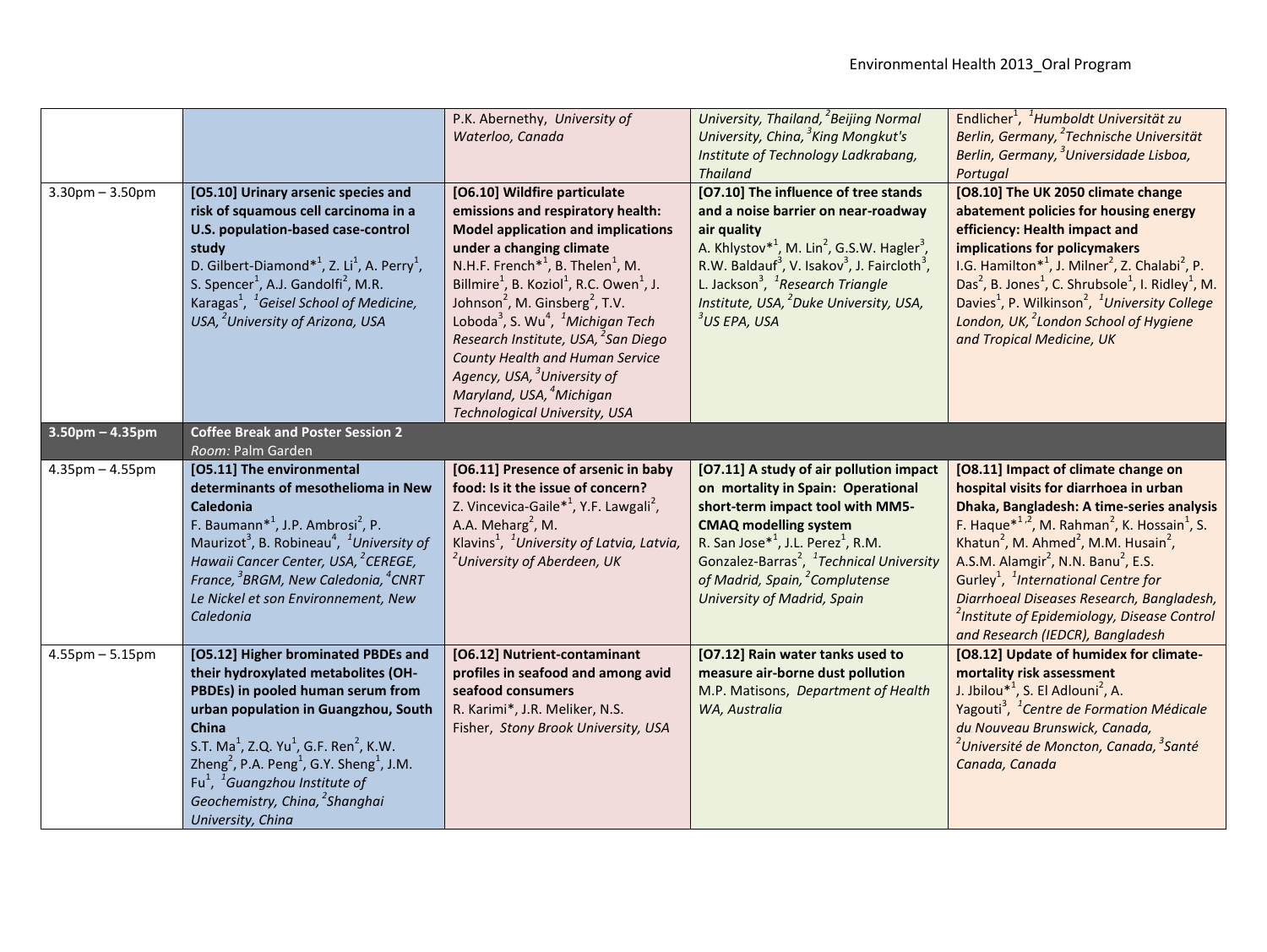|                       |                                                                                                                                                                                                                                                                                                                                                                                                                                                                   | P.K. Abernethy, University of<br>Waterloo, Canada                                                                                                                                                                                                                                                                                                                                                                                                                                                                                                                                                                                           | University, Thailand, <sup>2</sup> Beijing Normal<br>University, China, <sup>3</sup> King Mongkut's<br>Institute of Technology Ladkrabang,<br><b>Thailand</b>                                                                                                                                                                                                                                         | Endlicher <sup>1</sup> , <sup>1</sup> Humboldt Universität zu<br>Berlin, Germany, <sup>2</sup> Technische Universität<br>Berlin, Germany, <sup>3</sup> Universidade Lisboa,<br>Portugal                                                                                                                                                                                                                                                                                                                                                                        |
|-----------------------|-------------------------------------------------------------------------------------------------------------------------------------------------------------------------------------------------------------------------------------------------------------------------------------------------------------------------------------------------------------------------------------------------------------------------------------------------------------------|---------------------------------------------------------------------------------------------------------------------------------------------------------------------------------------------------------------------------------------------------------------------------------------------------------------------------------------------------------------------------------------------------------------------------------------------------------------------------------------------------------------------------------------------------------------------------------------------------------------------------------------------|-------------------------------------------------------------------------------------------------------------------------------------------------------------------------------------------------------------------------------------------------------------------------------------------------------------------------------------------------------------------------------------------------------|----------------------------------------------------------------------------------------------------------------------------------------------------------------------------------------------------------------------------------------------------------------------------------------------------------------------------------------------------------------------------------------------------------------------------------------------------------------------------------------------------------------------------------------------------------------|
| $3.30$ pm $- 3.50$ pm | [O5.10] Urinary arsenic species and<br>risk of squamous cell carcinoma in a<br>U.S. population-based case-control<br>study<br>D. Gilbert-Diamond* <sup>1</sup> , Z. Li <sup>1</sup> , A. Perry <sup>1</sup> ,<br>S. Spencer <sup>1</sup> , A.J. Gandolfi <sup>2</sup> , M.R.<br>Karagas <sup>1</sup> , <sup>1</sup> Geisel School of Medicine,<br>USA, <sup>2</sup> University of Arizona, USA                                                                    | [O6.10] Wildfire particulate<br>emissions and respiratory health:<br><b>Model application and implications</b><br>under a changing climate<br>N.H.F. French <sup>*1</sup> , B. Thelen <sup>1</sup> , M.<br>Billmire <sup>1</sup> , B. Koziol <sup>1</sup> , R.C. Owen <sup>1</sup> , J.<br>Johnson <sup>2</sup> , M. Ginsberg <sup>2</sup> , T.V.<br>Loboda <sup>3</sup> , S. Wu <sup>4</sup> , <sup>1</sup> Michigan Tech<br>Research Institute, USA, <sup>2</sup> San Diego<br>County Health and Human Service<br>Agency, USA, <sup>3</sup> University of<br>Maryland, USA, <sup>4</sup> Michigan<br><b>Technological University, USA</b> | [O7.10] The influence of tree stands<br>and a noise barrier on near-roadway<br>air quality<br>A. Khlystov <sup>*1</sup> , M. Lin <sup>2</sup> , G.S.W. Hagler <sup>3</sup> ,<br>R.W. Baldauf <sup>3</sup> , V. Isakov <sup>3</sup> , J. Faircloth <sup>3</sup> ,<br>L. Jackson <sup>3</sup> , <sup>1</sup> Research Triangle<br>Institute, USA, <sup>2</sup> Duke University, USA,<br>$3$ US EPA, USA | [O8.10] The UK 2050 climate change<br>abatement policies for housing energy<br>efficiency: Health impact and<br>implications for policymakers<br>I.G. Hamilton* <sup>1</sup> , J. Milner <sup>2</sup> , Z. Chalabi <sup>2</sup> , P.<br>Das <sup>2</sup> , B. Jones <sup>1</sup> , C. Shrubsole <sup>1</sup> , I. Ridley <sup>1</sup> , M.<br>Davies <sup>1</sup> , P. Wilkinson <sup>2</sup> , <sup>1</sup> University College<br>London, UK, <sup>2</sup> London School of Hygiene<br>and Tropical Medicine, UK                                              |
| $3.50$ pm $- 4.35$ pm | <b>Coffee Break and Poster Session 2</b><br>Room: Palm Garden                                                                                                                                                                                                                                                                                                                                                                                                     |                                                                                                                                                                                                                                                                                                                                                                                                                                                                                                                                                                                                                                             |                                                                                                                                                                                                                                                                                                                                                                                                       |                                                                                                                                                                                                                                                                                                                                                                                                                                                                                                                                                                |
| $4.35$ pm $- 4.55$ pm | [O5.11] The environmental<br>determinants of mesothelioma in New<br><b>Caledonia</b><br>F. Baumann <sup>*1</sup> , J.P. Ambrosi <sup>2</sup> , P.<br>Maurizot <sup>3</sup> , B. Robineau <sup>4</sup> , <sup>1</sup> University of<br>Hawaii Cancer Center, USA, <sup>2</sup> CEREGE,<br>France, <sup>3</sup> BRGM, New Caledonia, <sup>4</sup> CNRT<br>Le Nickel et son Environnement, New<br>Caledonia                                                          | [O6.11] Presence of arsenic in baby<br>food: Is it the issue of concern?<br>Z. Vincevica-Gaile <sup>*1</sup> , Y.F. Lawgali <sup>2</sup> ,<br>A.A. Meharg <sup>2</sup> , M.<br>Klavins <sup>1</sup> , <sup>1</sup> University of Latvia, Latvia,<br><sup>2</sup> University of Aberdeen, UK                                                                                                                                                                                                                                                                                                                                                 | [O7.11] A study of air pollution impact<br>on mortality in Spain: Operational<br>short-term impact tool with MM5-<br><b>CMAQ modelling system</b><br>R. San Jose <sup>*1</sup> , J.L. Perez <sup>1</sup> , R.M.<br>Gonzalez-Barras <sup>2</sup> , <sup>1</sup> Technical University<br>of Madrid, Spain, <sup>2</sup> Complutense<br>University of Madrid, Spain                                      | [O8.11] Impact of climate change on<br>hospital visits for diarrhoea in urban<br>Dhaka, Bangladesh: A time-series analysis<br>F. Haque $*^{1,2}$ , M. Rahman <sup>2</sup> , K. Hossain <sup>1</sup> , S.<br>Khatun <sup>2</sup> , M. Ahmed <sup>2</sup> , M.M. Husain <sup>2</sup> ,<br>A.S.M. Alamgir <sup>2</sup> , N.N. Banu <sup>2</sup> , E.S.<br>Gurley <sup>1</sup> , <sup>1</sup> International Centre for<br>Diarrhoeal Diseases Research, Bangladesh,<br><sup>2</sup> Institute of Epidemiology, Disease Control<br>and Research (IEDCR), Bangladesh |
| $4.55$ pm $- 5.15$ pm | [O5.12] Higher brominated PBDEs and<br>their hydroxylated metabolites (OH-<br>PBDEs) in pooled human serum from<br>urban population in Guangzhou, South<br><b>China</b><br>S.T. Ma <sup>1</sup> , Z.Q. Yu <sup>1</sup> , G.F. Ren <sup>2</sup> , K.W.<br>Zheng <sup>2</sup> , P.A. Peng <sup>1</sup> , G.Y. Sheng <sup>1</sup> , J.M.<br>Fu <sup>1</sup> , <sup>1</sup> Guangzhou Institute of<br>Geochemistry, China, <sup>2</sup> Shanghai<br>University, China | [O6.12] Nutrient-contaminant<br>profiles in seafood and among avid<br>seafood consumers<br>R. Karimi*, J.R. Meliker, N.S.<br>Fisher, Stony Brook University, USA                                                                                                                                                                                                                                                                                                                                                                                                                                                                            | [O7.12] Rain water tanks used to<br>measure air-borne dust pollution<br>M.P. Matisons, Department of Health<br>WA, Australia                                                                                                                                                                                                                                                                          | [O8.12] Update of humidex for climate-<br>mortality risk assessment<br>J. Jbilou $*^1$ , S. El Adlouni <sup>2</sup> , A.<br>Yagouti <sup>3</sup> , <sup>1</sup> Centre de Formation Médicale<br>du Nouveau Brunswick, Canada,<br><sup>2</sup> Université de Moncton, Canada, <sup>3</sup> Santé<br>Canada, Canada                                                                                                                                                                                                                                              |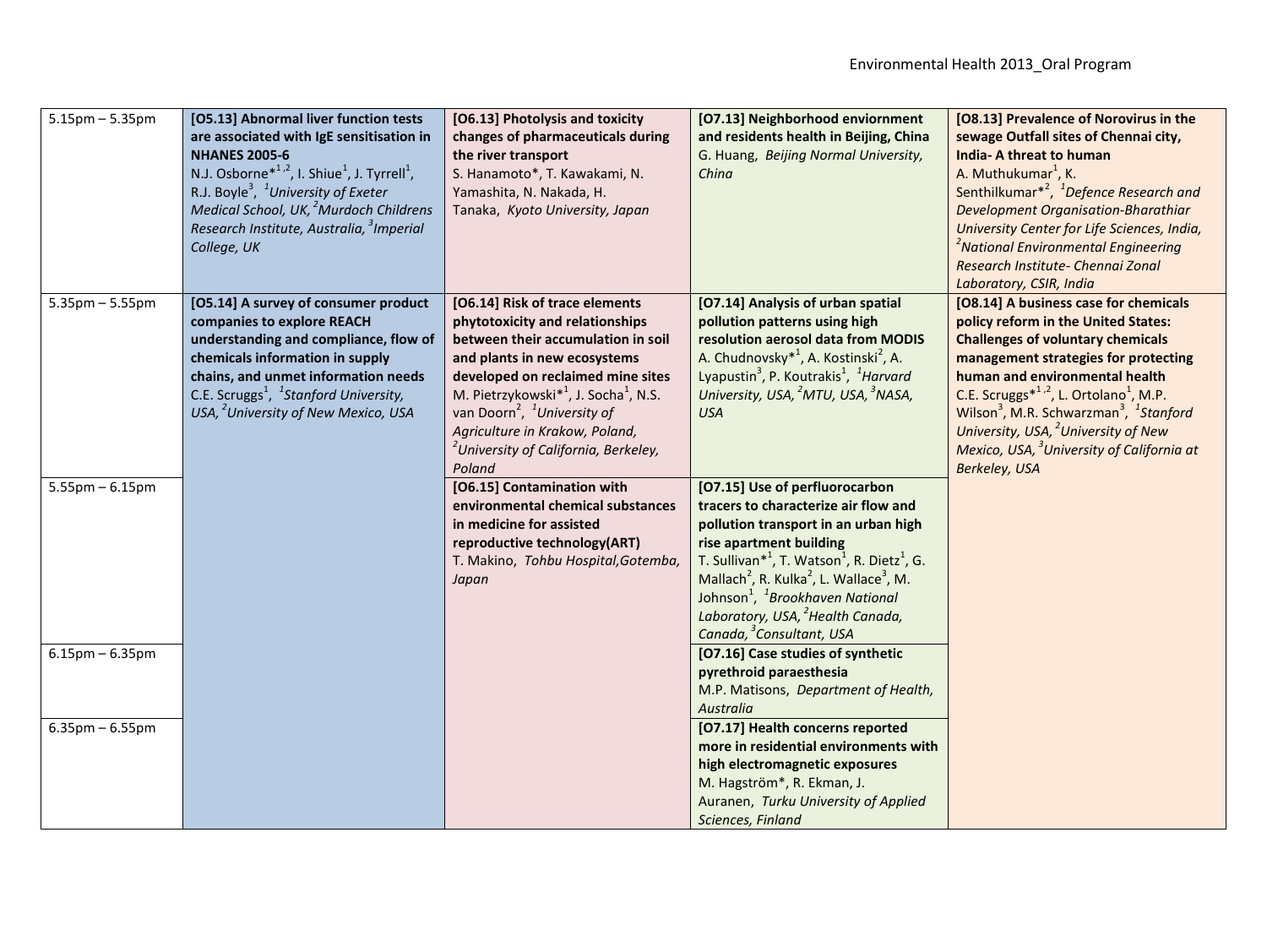| $5.15$ pm $- 5.35$ pm | [O5.13] Abnormal liver function tests<br>are associated with IgE sensitisation in<br><b>NHANES 2005-6</b><br>N.J. Osborne <sup>*1,2</sup> , I. Shiue <sup>1</sup> , J. Tyrrell <sup>1</sup> ,<br>R.J. Boyle <sup>3</sup> , <sup>1</sup> University of Exeter<br>Medical School, UK, <sup>2</sup> Murdoch Childrens<br>Research Institute, Australia, <sup>3</sup> Imperial<br>College, UK | [O6.13] Photolysis and toxicity<br>changes of pharmaceuticals during<br>the river transport<br>S. Hanamoto*, T. Kawakami, N.<br>Yamashita, N. Nakada, H.<br>Tanaka, Kyoto University, Japan                                                                                                                                                                                                          | [O7.13] Neighborhood enviornment<br>and residents health in Beijing, China<br>G. Huang, Beijing Normal University,<br>China                                                                                                                                                                                                                                                                                                                                    | [O8.13] Prevalence of Norovirus in the<br>sewage Outfall sites of Chennai city,<br><b>India-A threat to human</b><br>A. Muthukumar <sup>1</sup> , K.<br>Senthilkumar* <sup>2</sup> , <sup>1</sup> Defence Research and<br>Development Organisation-Bharathiar<br>University Center for Life Sciences, India,<br><sup>2</sup> National Environmental Engineering<br>Research Institute- Chennai Zonal<br>Laboratory, CSIR, India                                                 |
|-----------------------|-------------------------------------------------------------------------------------------------------------------------------------------------------------------------------------------------------------------------------------------------------------------------------------------------------------------------------------------------------------------------------------------|------------------------------------------------------------------------------------------------------------------------------------------------------------------------------------------------------------------------------------------------------------------------------------------------------------------------------------------------------------------------------------------------------|----------------------------------------------------------------------------------------------------------------------------------------------------------------------------------------------------------------------------------------------------------------------------------------------------------------------------------------------------------------------------------------------------------------------------------------------------------------|---------------------------------------------------------------------------------------------------------------------------------------------------------------------------------------------------------------------------------------------------------------------------------------------------------------------------------------------------------------------------------------------------------------------------------------------------------------------------------|
| $5.35$ pm $-5.55$ pm  | [O5.14] A survey of consumer product<br>companies to explore REACH<br>understanding and compliance, flow of<br>chemicals information in supply<br>chains, and unmet information needs<br>C.E. Scruggs <sup>1</sup> , <sup>1</sup> Stanford University,<br>USA, <sup>2</sup> University of New Mexico, USA                                                                                 | [O6.14] Risk of trace elements<br>phytotoxicity and relationships<br>between their accumulation in soil<br>and plants in new ecosystems<br>developed on reclaimed mine sites<br>M. Pietrzykowski <sup>*1</sup> , J. Socha <sup>1</sup> , N.S.<br>van Doorn <sup>2</sup> , <sup>1</sup> University of<br>Agriculture in Krakow, Poland,<br><sup>2</sup> University of California, Berkeley,<br>Poland | [O7.14] Analysis of urban spatial<br>pollution patterns using high<br>resolution aerosol data from MODIS<br>A. Chudnovsky <sup>*1</sup> , A. Kostinski <sup>2</sup> , A.<br>Lyapustin <sup>3</sup> , P. Koutrakis <sup>1</sup> , <sup>1</sup> Harvard<br>University, USA, <sup>2</sup> MTU, USA, <sup>3</sup> NASA,<br><b>USA</b>                                                                                                                              | [O8.14] A business case for chemicals<br>policy reform in the United States:<br><b>Challenges of voluntary chemicals</b><br>management strategies for protecting<br>human and environmental health<br>C.E. Scruggs* <sup>1,2</sup> , L. Ortolano <sup>1</sup> , M.P.<br>Wilson <sup>3</sup> , M.R. Schwarzman <sup>3</sup> , <sup>1</sup> Stanford<br>University, USA, <sup>2</sup> University of New<br>Mexico, USA, <sup>3</sup> University of California at<br>Berkeley, USA |
| $5.55$ pm $-6.15$ pm  |                                                                                                                                                                                                                                                                                                                                                                                           | [O6.15] Contamination with<br>environmental chemical substances<br>in medicine for assisted<br>reproductive technology(ART)<br>T. Makino, Tohbu Hospital, Gotemba,<br>Japan                                                                                                                                                                                                                          | [O7.15] Use of perfluorocarbon<br>tracers to characterize air flow and<br>pollution transport in an urban high<br>rise apartment building<br>T. Sullivan <sup>*1</sup> , T. Watson <sup>1</sup> , R. Dietz <sup>1</sup> , G.<br>Mallach <sup>2</sup> , R. Kulka <sup>2</sup> , L. Wallace <sup>3</sup> , M.<br>Johnson <sup>1</sup> , <sup>1</sup> Brookhaven National<br>Laboratory, USA, <sup>2</sup> Health Canada,<br>Canada, <sup>3</sup> Consultant, USA |                                                                                                                                                                                                                                                                                                                                                                                                                                                                                 |
| $6.15$ pm – $6.35$ pm |                                                                                                                                                                                                                                                                                                                                                                                           |                                                                                                                                                                                                                                                                                                                                                                                                      | [O7.16] Case studies of synthetic<br>pyrethroid paraesthesia<br>M.P. Matisons, Department of Health,<br>Australia                                                                                                                                                                                                                                                                                                                                              |                                                                                                                                                                                                                                                                                                                                                                                                                                                                                 |
| $6.35$ pm $- 6.55$ pm |                                                                                                                                                                                                                                                                                                                                                                                           |                                                                                                                                                                                                                                                                                                                                                                                                      | [O7.17] Health concerns reported<br>more in residential environments with<br>high electromagnetic exposures<br>M. Hagström*, R. Ekman, J.<br>Auranen, Turku University of Applied<br>Sciences, Finland                                                                                                                                                                                                                                                         |                                                                                                                                                                                                                                                                                                                                                                                                                                                                                 |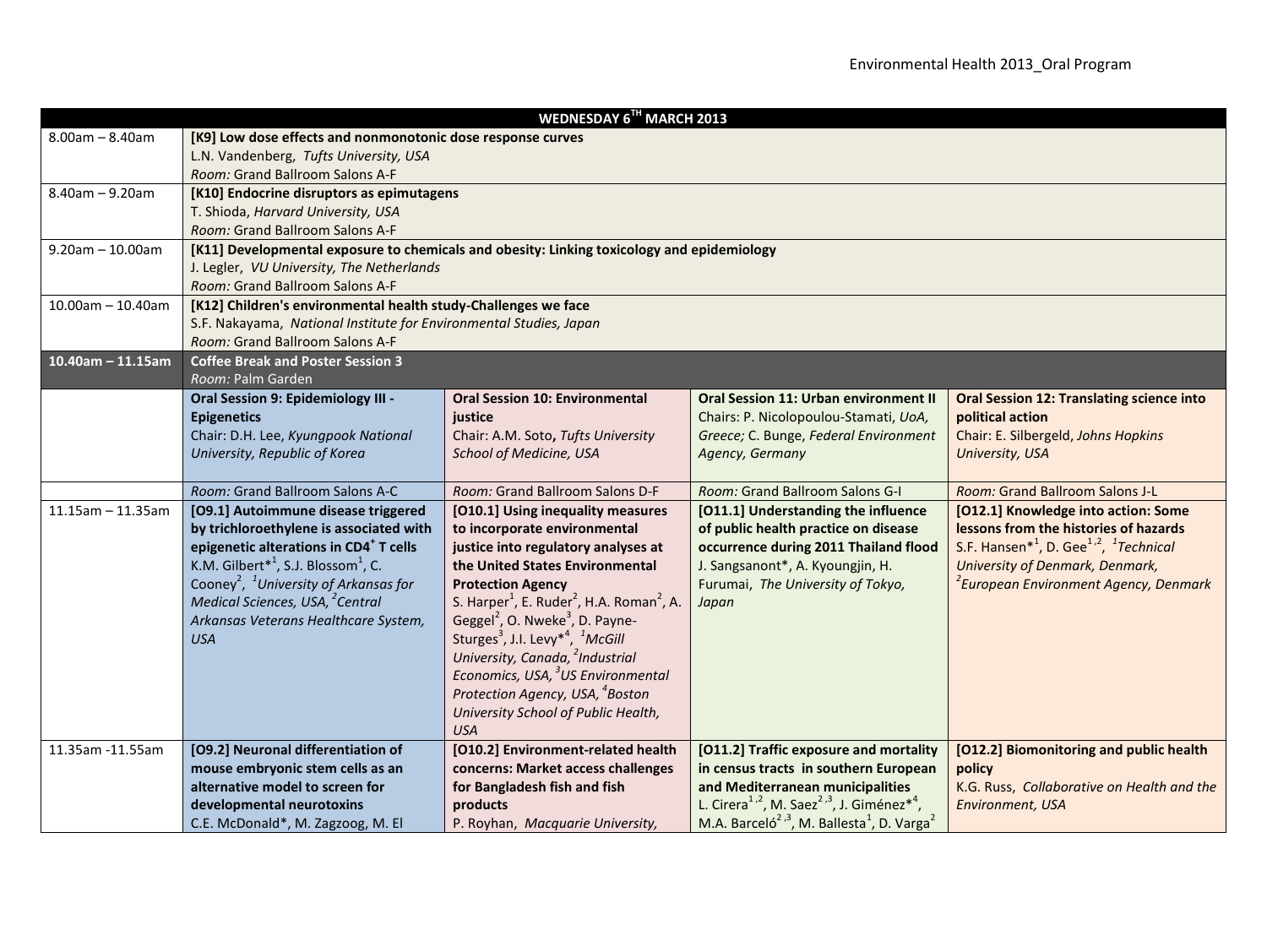| WEDNESDAY 6TH MARCH 2013 |                                                                                            |                                                                               |                                                                                |                                                                            |  |
|--------------------------|--------------------------------------------------------------------------------------------|-------------------------------------------------------------------------------|--------------------------------------------------------------------------------|----------------------------------------------------------------------------|--|
| $8.00am - 8.40am$        | [K9] Low dose effects and nonmonotonic dose response curves                                |                                                                               |                                                                                |                                                                            |  |
|                          | L.N. Vandenberg, Tufts University, USA                                                     |                                                                               |                                                                                |                                                                            |  |
|                          | Room: Grand Ballroom Salons A-F                                                            |                                                                               |                                                                                |                                                                            |  |
| $8.40$ am - 9.20am       | [K10] Endocrine disruptors as epimutagens                                                  |                                                                               |                                                                                |                                                                            |  |
|                          | T. Shioda, Harvard University, USA                                                         |                                                                               |                                                                                |                                                                            |  |
|                          | Room: Grand Ballroom Salons A-F                                                            |                                                                               |                                                                                |                                                                            |  |
| $9.20$ am - 10.00am      | [K11] Developmental exposure to chemicals and obesity: Linking toxicology and epidemiology |                                                                               |                                                                                |                                                                            |  |
|                          | J. Legler, VU University, The Netherlands                                                  |                                                                               |                                                                                |                                                                            |  |
|                          | Room: Grand Ballroom Salons A-F                                                            |                                                                               |                                                                                |                                                                            |  |
| $10.00$ am - 10.40am     | [K12] Children's environmental health study-Challenges we face                             |                                                                               |                                                                                |                                                                            |  |
|                          | S.F. Nakayama, National Institute for Environmental Studies, Japan                         |                                                                               |                                                                                |                                                                            |  |
|                          | Room: Grand Ballroom Salons A-F                                                            |                                                                               |                                                                                |                                                                            |  |
| $10.40$ am - 11.15am     | <b>Coffee Break and Poster Session 3</b>                                                   |                                                                               |                                                                                |                                                                            |  |
|                          | Room: Palm Garden                                                                          |                                                                               |                                                                                |                                                                            |  |
|                          | Oral Session 9: Epidemiology III -                                                         | <b>Oral Session 10: Environmental</b>                                         | <b>Oral Session 11: Urban environment II</b>                                   | <b>Oral Session 12: Translating science into</b>                           |  |
|                          | <b>Epigenetics</b>                                                                         | justice                                                                       | Chairs: P. Nicolopoulou-Stamati, UoA,                                          | political action                                                           |  |
|                          | Chair: D.H. Lee, Kyungpook National                                                        | Chair: A.M. Soto, Tufts University                                            | Greece; C. Bunge, Federal Environment                                          | Chair: E. Silbergeld, Johns Hopkins                                        |  |
|                          | University, Republic of Korea                                                              | School of Medicine, USA                                                       | Agency, Germany                                                                | University, USA                                                            |  |
|                          |                                                                                            |                                                                               |                                                                                |                                                                            |  |
|                          | Room: Grand Ballroom Salons A-C                                                            | Room: Grand Ballroom Salons D-F                                               | Room: Grand Ballroom Salons G-I                                                | Room: Grand Ballroom Salons J-L                                            |  |
| $11.15$ am - 11.35am     | [O9.1] Autoimmune disease triggered                                                        | [O10.1] Using inequality measures                                             | [011.1] Understanding the influence                                            | [O12.1] Knowledge into action: Some                                        |  |
|                          | by trichloroethylene is associated with                                                    | to incorporate environmental                                                  | of public health practice on disease                                           | lessons from the histories of hazards                                      |  |
|                          | epigenetic alterations in CD4 <sup>+</sup> T cells                                         | justice into regulatory analyses at                                           | occurrence during 2011 Thailand flood                                          | S.F. Hansen <sup>*1</sup> , D. Gee <sup>1,2</sup> , <sup>1</sup> Technical |  |
|                          | K.M. Gilbert <sup>*1</sup> , S.J. Blossom <sup>1</sup> , C.                                | the United States Environmental                                               | J. Sangsanont*, A. Kyoungjin, H.                                               | <b>University of Denmark, Denmark,</b>                                     |  |
|                          | Cooney <sup>2</sup> , <sup>1</sup> University of Arkansas for                              | <b>Protection Agency</b>                                                      | Furumai, The University of Tokyo,                                              | <sup>2</sup> European Environment Agency, Denmark                          |  |
|                          | Medical Sciences, USA, <sup>2</sup> Central                                                | S. Harper <sup>1</sup> , E. Ruder <sup>2</sup> , H.A. Roman <sup>2</sup> , A. | Japan                                                                          |                                                                            |  |
|                          | Arkansas Veterans Healthcare System,                                                       | Geggel <sup>2</sup> , O. Nweke <sup>3</sup> , D. Payne-                       |                                                                                |                                                                            |  |
|                          | <b>USA</b>                                                                                 | Sturges <sup>3</sup> , J.I. Levy <sup>*4</sup> , <sup>1</sup> McGill          |                                                                                |                                                                            |  |
|                          |                                                                                            | University, Canada, <sup>2</sup> Industrial                                   |                                                                                |                                                                            |  |
|                          |                                                                                            | Economics, USA, <sup>3</sup> US Environmental                                 |                                                                                |                                                                            |  |
|                          |                                                                                            | Protection Agency, USA, <sup>4</sup> Boston                                   |                                                                                |                                                                            |  |
|                          |                                                                                            | University School of Public Health,                                           |                                                                                |                                                                            |  |
|                          |                                                                                            | <b>USA</b>                                                                    |                                                                                |                                                                            |  |
| 11.35am -11.55am         | [O9.2] Neuronal differentiation of                                                         | [O10.2] Environment-related health                                            | [O11.2] Traffic exposure and mortality                                         | [O12.2] Biomonitoring and public health                                    |  |
|                          | mouse embryonic stem cells as an                                                           | concerns: Market access challenges                                            | in census tracts in southern European                                          | policy                                                                     |  |
|                          | alternative model to screen for                                                            | for Bangladesh fish and fish                                                  | and Mediterranean municipalities                                               | K.G. Russ, Collaborative on Health and the                                 |  |
|                          | developmental neurotoxins                                                                  | products                                                                      | L. Cirera <sup>1,2</sup> , M. Saez <sup>2,3</sup> , J. Giménez <sup>*4</sup> , | Environment, USA                                                           |  |
|                          | C.E. McDonald*, M. Zagzoog, M. El                                                          | P. Royhan, Macquarie University,                                              | M.A. Barceló <sup>2,3</sup> , M. Ballesta <sup>1</sup> , D. Varga <sup>2</sup> |                                                                            |  |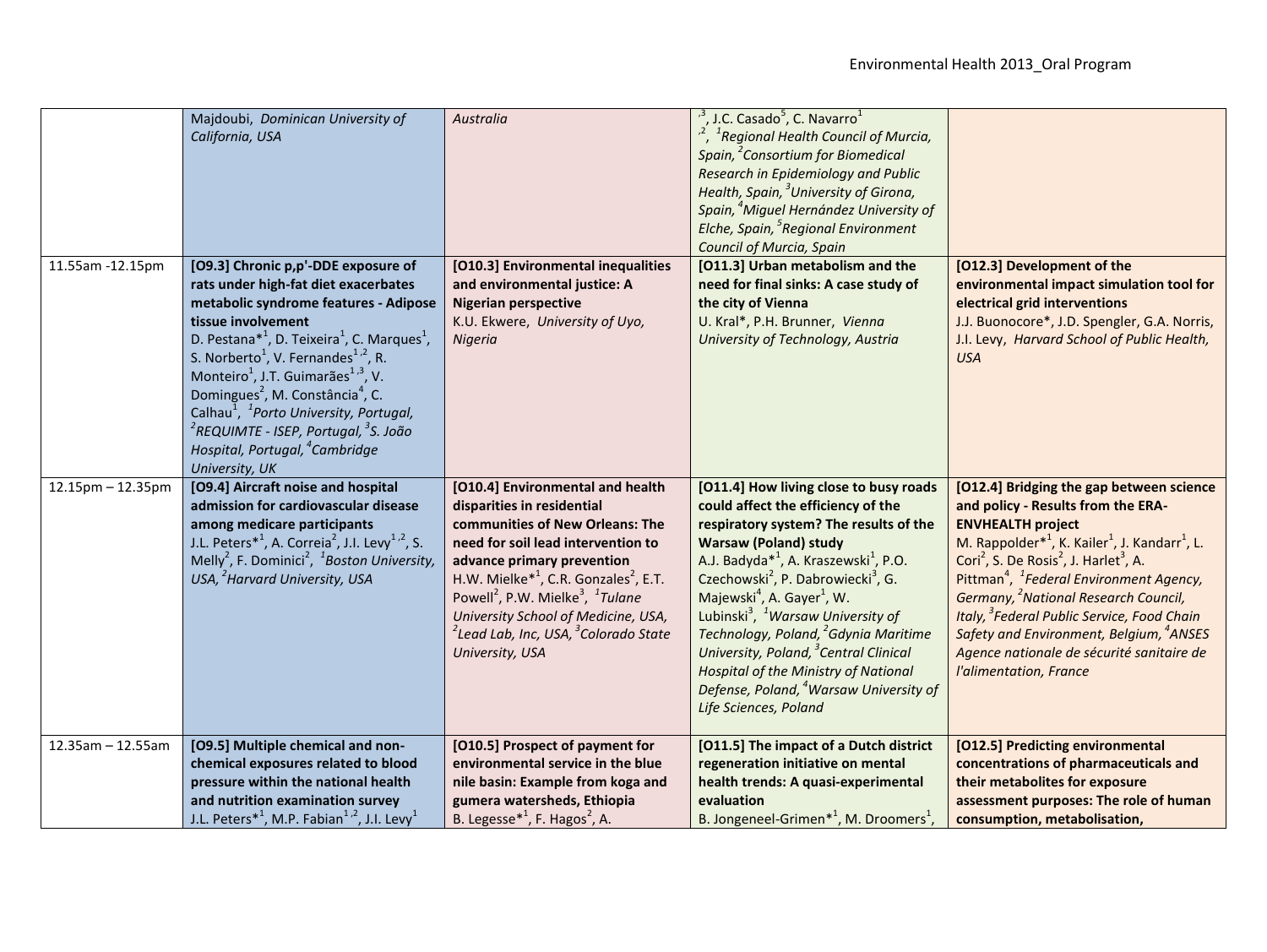|                      | Majdoubi, Dominican University of<br>California, USA                                                                                                                                                                                                                                                                                                                                                                                                                                                                                                                                                                     | Australia                                                                                                                                                                                                                                                                                                                                                                                                                                | $^{3}$ , J.C. Casado <sup>5</sup> , C. Navarro <sup>1</sup><br><sup>2</sup> , <sup>1</sup> Regional Health Council of Murcia,<br>Spain, <sup>2</sup> Consortium for Biomedical<br>Research in Epidemiology and Public<br>Health, Spain, <sup>3</sup> University of Girona,<br>Spain, <sup>4</sup> Miguel Hernández University of<br>Elche, Spain, <sup>5</sup> Regional Environment<br>Council of Murcia, Spain                                                                                                                                                                                                                                 |                                                                                                                                                                                                                                                                                                                                                                                                                                                                                                                                                                                               |
|----------------------|--------------------------------------------------------------------------------------------------------------------------------------------------------------------------------------------------------------------------------------------------------------------------------------------------------------------------------------------------------------------------------------------------------------------------------------------------------------------------------------------------------------------------------------------------------------------------------------------------------------------------|------------------------------------------------------------------------------------------------------------------------------------------------------------------------------------------------------------------------------------------------------------------------------------------------------------------------------------------------------------------------------------------------------------------------------------------|-------------------------------------------------------------------------------------------------------------------------------------------------------------------------------------------------------------------------------------------------------------------------------------------------------------------------------------------------------------------------------------------------------------------------------------------------------------------------------------------------------------------------------------------------------------------------------------------------------------------------------------------------|-----------------------------------------------------------------------------------------------------------------------------------------------------------------------------------------------------------------------------------------------------------------------------------------------------------------------------------------------------------------------------------------------------------------------------------------------------------------------------------------------------------------------------------------------------------------------------------------------|
| 11.55am -12.15pm     | [O9.3] Chronic p,p'-DDE exposure of<br>rats under high-fat diet exacerbates<br>metabolic syndrome features - Adipose<br>tissue involvement<br>D. Pestana <sup>*1</sup> , D. Teixeira <sup>1</sup> , C. Marques <sup>1</sup> ,<br>S. Norberto <sup>1</sup> , V. Fernandes <sup>1,2</sup> , R.<br>Monteiro <sup>1</sup> , J.T. Guimarães <sup>1,3</sup> , V.<br>Domingues <sup>2</sup> , M. Constância <sup>4</sup> , C.<br>Calhau <sup>1</sup> , <sup>1</sup> Porto University, Portugal,<br><sup>2</sup> REQUIMTE - ISEP, Portugal, <sup>3</sup> S. João<br>Hospital, Portugal, <sup>4</sup> Cambridge<br>University, UK | [O10.3] Environmental inequalities<br>and environmental justice: A<br><b>Nigerian perspective</b><br>K.U. Ekwere, University of Uyo,<br>Nigeria                                                                                                                                                                                                                                                                                          | [O11.3] Urban metabolism and the<br>need for final sinks: A case study of<br>the city of Vienna<br>U. Kral*, P.H. Brunner, Vienna<br>University of Technology, Austria                                                                                                                                                                                                                                                                                                                                                                                                                                                                          | [O12.3] Development of the<br>environmental impact simulation tool for<br>electrical grid interventions<br>J.J. Buonocore*, J.D. Spengler, G.A. Norris,<br>J.I. Levy, Harvard School of Public Health,<br><b>USA</b>                                                                                                                                                                                                                                                                                                                                                                          |
| $12.15$ pm - 12.35pm | [O9.4] Aircraft noise and hospital<br>admission for cardiovascular disease<br>among medicare participants<br>J.L. Peters <sup>*1</sup> , A. Correia <sup>2</sup> , J.I. Levy <sup>1,2</sup> , S.<br>Melly <sup>2</sup> , F. Dominici <sup>2</sup> , <sup>1</sup> Boston University,<br>USA, <sup>2</sup> Harvard University, USA                                                                                                                                                                                                                                                                                         | [O10.4] Environmental and health<br>disparities in residential<br>communities of New Orleans: The<br>need for soil lead intervention to<br>advance primary prevention<br>H.W. Mielke <sup>*1</sup> , C.R. Gonzales <sup>2</sup> , E.T.<br>Powell <sup>2</sup> , P.W. Mielke <sup>3</sup> , <sup>1</sup> Tulane<br>University School of Medicine, USA,<br><sup>2</sup> Lead Lab, Inc, USA, <sup>3</sup> Colorado State<br>University, USA | [O11.4] How living close to busy roads<br>could affect the efficiency of the<br>respiratory system? The results of the<br><b>Warsaw (Poland) study</b><br>A.J. Badyda <sup>*1</sup> , A. Kraszewski <sup>1</sup> , P.O.<br>Czechowski <sup>2</sup> , P. Dabrowiecki <sup>3</sup> , G.<br>Majewski <sup>4</sup> , A. Gayer <sup>1</sup> , W.<br>Lubinski <sup>3</sup> , <sup>1</sup> Warsaw University of<br>Technology, Poland, <sup>2</sup> Gdynia Maritime<br>University, Poland, <sup>3</sup> Central Clinical<br><b>Hospital of the Ministry of National</b><br>Defense, Poland, <sup>4</sup> Warsaw University of<br>Life Sciences, Poland | [O12.4] Bridging the gap between science<br>and policy - Results from the ERA-<br><b>ENVHEALTH project</b><br>M. Rappolder <sup>*1</sup> , K. Kailer <sup>1</sup> , J. Kandarr <sup>1</sup> , L.<br>Cori <sup>2</sup> , S. De Rosis <sup>2</sup> , J. Harlet <sup>3</sup> , A.<br>Pittman <sup>4</sup> , <sup>1</sup> Federal Environment Agency,<br>Germany, <sup>2</sup> National Research Council,<br>Italy, <sup>3</sup> Federal Public Service, Food Chain<br>Safety and Environment, Belgium, <sup>4</sup> ANSES<br>Agence nationale de sécurité sanitaire de<br>l'alimentation, France |
| $12.35am - 12.55am$  | [O9.5] Multiple chemical and non-<br>chemical exposures related to blood<br>pressure within the national health<br>and nutrition examination survey<br>J.L. Peters <sup>*1</sup> , M.P. Fabian <sup>1,2</sup> , J.I. Levy <sup>1</sup>                                                                                                                                                                                                                                                                                                                                                                                   | [O10.5] Prospect of payment for<br>environmental service in the blue<br>nile basin: Example from koga and<br>gumera watersheds, Ethiopia<br>B. Legesse $*^1$ , F. Hagos <sup>2</sup> , A.                                                                                                                                                                                                                                                | [O11.5] The impact of a Dutch district<br>regeneration initiative on mental<br>health trends: A quasi-experimental<br>evaluation<br>B. Jongeneel-Grimen <sup>*1</sup> , M. Droomers <sup>1</sup> ,                                                                                                                                                                                                                                                                                                                                                                                                                                              | [012.5] Predicting environmental<br>concentrations of pharmaceuticals and<br>their metabolites for exposure<br>assessment purposes: The role of human<br>consumption, metabolisation,                                                                                                                                                                                                                                                                                                                                                                                                         |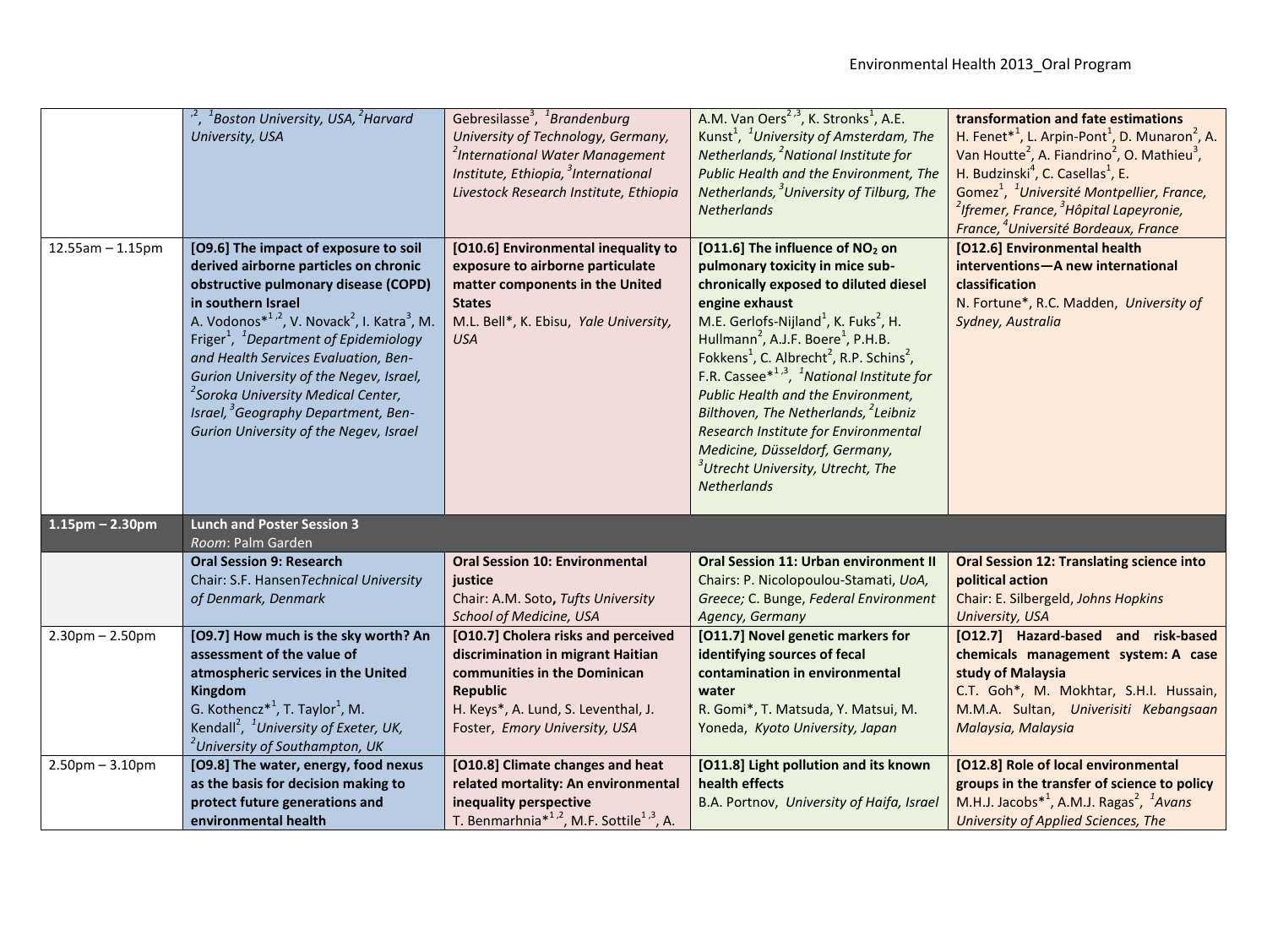|                        | $1$ Boston University, USA, $2$ Harvard<br>University, USA                                                                                                                                                                                                                                                                                                                                                                                                                                                                    | Gebresilasse <sup>3</sup> , <sup>1</sup> Brandenburg<br>University of Technology, Germany,<br><sup>2</sup> International Water Management<br>Institute, Ethiopia, <sup>3</sup> International<br>Livestock Research Institute, Ethiopia | A.M. Van Oers <sup>2,3</sup> , K. Stronks <sup>1</sup> , A.E.<br>Kunst <sup>1</sup> , <sup>1</sup> University of Amsterdam, The<br>Netherlands, <sup>2</sup> National Institute for<br>Public Health and the Environment, The<br>Netherlands, <sup>3</sup> University of Tilburg, The<br><b>Netherlands</b>                                                                                                                                                                                                                                                                                                                                                        | transformation and fate estimations<br>H. Fenet* <sup>1</sup> , L. Arpin-Pont <sup>1</sup> , D. Munaron <sup>2</sup> , A.<br>Van Houtte <sup>2</sup> , A. Fiandrino <sup>2</sup> , O. Mathieu <sup>3</sup> ,<br>H. Budzinski <sup>4</sup> , C. Casellas <sup>1</sup> , E.<br>Gomez <sup>1</sup> , <sup>1</sup> Université Montpellier, France,<br><sup>2</sup> Ifremer, France, <sup>3</sup> Hôpital Lapeyronie,<br>France, <sup>4</sup> Université Bordeaux, France |
|------------------------|-------------------------------------------------------------------------------------------------------------------------------------------------------------------------------------------------------------------------------------------------------------------------------------------------------------------------------------------------------------------------------------------------------------------------------------------------------------------------------------------------------------------------------|----------------------------------------------------------------------------------------------------------------------------------------------------------------------------------------------------------------------------------------|--------------------------------------------------------------------------------------------------------------------------------------------------------------------------------------------------------------------------------------------------------------------------------------------------------------------------------------------------------------------------------------------------------------------------------------------------------------------------------------------------------------------------------------------------------------------------------------------------------------------------------------------------------------------|----------------------------------------------------------------------------------------------------------------------------------------------------------------------------------------------------------------------------------------------------------------------------------------------------------------------------------------------------------------------------------------------------------------------------------------------------------------------|
| $12.55$ am $- 1.15$ pm | [O9.6] The impact of exposure to soil<br>derived airborne particles on chronic<br>obstructive pulmonary disease (COPD)<br>in southern Israel<br>A. Vodonos $*^{1,2}$ , V. Novack <sup>2</sup> , I. Katra <sup>3</sup> , M.<br>Friger <sup>1</sup> , <sup>1</sup> Department of Epidemiology<br>and Health Services Evaluation, Ben-<br>Gurion University of the Negev, Israel,<br><sup>2</sup> Soroka University Medical Center,<br>Israel, <sup>3</sup> Geography Department, Ben-<br>Gurion University of the Negev, Israel | [O10.6] Environmental inequality to<br>exposure to airborne particulate<br>matter components in the United<br><b>States</b><br>M.L. Bell*, K. Ebisu, Yale University,<br><b>USA</b>                                                    | [O11.6] The influence of NO <sub>2</sub> on<br>pulmonary toxicity in mice sub-<br>chronically exposed to diluted diesel<br>engine exhaust<br>M.E. Gerlofs-Nijland <sup>1</sup> , K. Fuks <sup>2</sup> , H.<br>Hullmann <sup>2</sup> , A.J.F. Boere <sup>1</sup> , P.H.B.<br>Fokkens <sup>1</sup> , C. Albrecht <sup>2</sup> , R.P. Schins <sup>2</sup> ,<br>F.R. Cassee $*^{1,3}$ , <sup>1</sup> National Institute for<br>Public Health and the Environment,<br>Bilthoven, The Netherlands, <sup>2</sup> Leibniz<br>Research Institute for Environmental<br>Medicine, Düsseldorf, Germany,<br><sup>3</sup> Utrecht University, Utrecht, The<br><b>Netherlands</b> | [012.6] Environmental health<br>interventions-A new international<br>classification<br>N. Fortune*, R.C. Madden, University of<br>Sydney, Australia                                                                                                                                                                                                                                                                                                                  |
| $1.15$ pm - 2.30pm     | <b>Lunch and Poster Session 3</b><br>Room: Palm Garden                                                                                                                                                                                                                                                                                                                                                                                                                                                                        |                                                                                                                                                                                                                                        |                                                                                                                                                                                                                                                                                                                                                                                                                                                                                                                                                                                                                                                                    |                                                                                                                                                                                                                                                                                                                                                                                                                                                                      |
|                        | <b>Oral Session 9: Research</b><br>Chair: S.F. HansenTechnical University<br>of Denmark, Denmark                                                                                                                                                                                                                                                                                                                                                                                                                              | <b>Oral Session 10: Environmental</b><br>justice<br>Chair: A.M. Soto, Tufts University<br>School of Medicine, USA                                                                                                                      | <b>Oral Session 11: Urban environment II</b><br>Chairs: P. Nicolopoulou-Stamati, UoA,<br>Greece; C. Bunge, Federal Environment<br>Agency, Germany                                                                                                                                                                                                                                                                                                                                                                                                                                                                                                                  | <b>Oral Session 12: Translating science into</b><br>political action<br>Chair: E. Silbergeld, Johns Hopkins<br>University, USA                                                                                                                                                                                                                                                                                                                                       |
| $2.30$ pm $- 2.50$ pm  | [O9.7] How much is the sky worth? An<br>assessment of the value of<br>atmospheric services in the United<br><b>Kingdom</b><br>G. Kothencz <sup><math>*</math>1</sup> , T. Taylor <sup>1</sup> , M.<br>Kendall <sup>2</sup> , <sup>1</sup> University of Exeter, UK,<br><sup>2</sup> University of Southampton, UK                                                                                                                                                                                                             | [O10.7] Cholera risks and perceived<br>discrimination in migrant Haitian<br>communities in the Dominican<br><b>Republic</b><br>H. Keys*, A. Lund, S. Leventhal, J.<br>Foster, Emory University, USA                                    | [O11.7] Novel genetic markers for<br>identifying sources of fecal<br>contamination in environmental<br>water<br>R. Gomi*, T. Matsuda, Y. Matsui, M.<br>Yoneda, Kyoto University, Japan                                                                                                                                                                                                                                                                                                                                                                                                                                                                             | [O12.7] Hazard-based and risk-based<br>chemicals management system: A case<br>study of Malaysia<br>C.T. Goh*, M. Mokhtar, S.H.I. Hussain,<br>M.M.A. Sultan, Univerisiti Kebangsaan<br>Malaysia, Malaysia                                                                                                                                                                                                                                                             |
| $2.50$ pm $- 3.10$ pm  | [O9.8] The water, energy, food nexus<br>as the basis for decision making to<br>protect future generations and<br>environmental health                                                                                                                                                                                                                                                                                                                                                                                         | [O10.8] Climate changes and heat<br>related mortality: An environmental<br>inequality perspective<br>T. Benmarhnia <sup>*1,2</sup> , M.F. Sottile <sup>1,3</sup> , A.                                                                  | [O11.8] Light pollution and its known<br>health effects<br>B.A. Portnov, University of Haifa, Israel                                                                                                                                                                                                                                                                                                                                                                                                                                                                                                                                                               | [012.8] Role of local environmental<br>groups in the transfer of science to policy<br>M.H.J. Jacobs $*^1$ , A.M.J. Ragas <sup>2</sup> , <sup>1</sup> Avans<br>University of Applied Sciences, The                                                                                                                                                                                                                                                                    |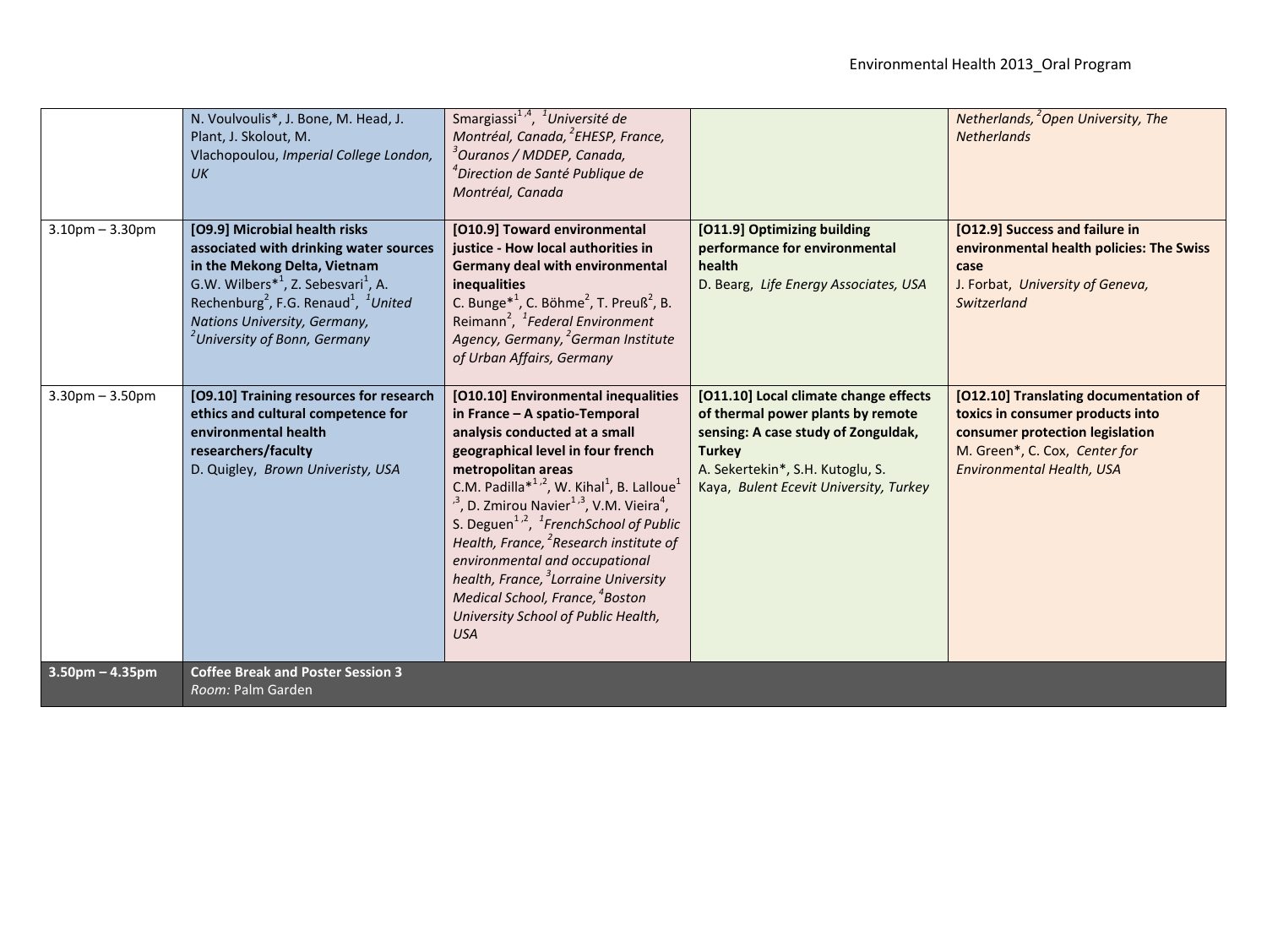|                       | N. Voulvoulis*, J. Bone, M. Head, J.<br>Plant, J. Skolout, M.<br>Vlachopoulou, Imperial College London,<br>UK                                                                                                                                                                                                          | Smargiassi <sup>1,4</sup> , <sup>1</sup> Université de<br>Montréal, Canada, <sup>2</sup> EHESP, France,<br><sup>3</sup> Ouranos / MDDEP, Canada,<br><sup>4</sup> Direction de Santé Publique de<br>Montréal, Canada                                                                                                                                                                                                                                                                                                                                                                                                                           |                                                                                                                                                                                                                  | Netherlands, <sup>2</sup> Open University, The<br><b>Netherlands</b>                                                                                                       |
|-----------------------|------------------------------------------------------------------------------------------------------------------------------------------------------------------------------------------------------------------------------------------------------------------------------------------------------------------------|-----------------------------------------------------------------------------------------------------------------------------------------------------------------------------------------------------------------------------------------------------------------------------------------------------------------------------------------------------------------------------------------------------------------------------------------------------------------------------------------------------------------------------------------------------------------------------------------------------------------------------------------------|------------------------------------------------------------------------------------------------------------------------------------------------------------------------------------------------------------------|----------------------------------------------------------------------------------------------------------------------------------------------------------------------------|
| $3.10$ pm $- 3.30$ pm | [O9.9] Microbial health risks<br>associated with drinking water sources<br>in the Mekong Delta, Vietnam<br>G.W. Wilbers $*^1$ , Z. Sebesvari <sup>1</sup> , A.<br>Rechenburg <sup>2</sup> , F.G. Renaud <sup>1</sup> , <sup>1</sup> United<br>Nations University, Germany,<br><sup>2</sup> University of Bonn, Germany | [O10.9] Toward environmental<br>justice - How local authorities in<br><b>Germany deal with environmental</b><br>inequalities<br>C. Bunge <sup><math>*</math><sup>1</sup>, C. Böhme<sup>2</sup>, T. Preuß<sup>2</sup>, B.</sup><br>Reimann <sup>2</sup> , <sup>1</sup> Federal Environment<br>Agency, Germany, <sup>2</sup> German Institute<br>of Urban Affairs, Germany                                                                                                                                                                                                                                                                      | [O11.9] Optimizing building<br>performance for environmental<br>health<br>D. Bearg, Life Energy Associates, USA                                                                                                  | [O12.9] Success and failure in<br>environmental health policies: The Swiss<br>case<br>J. Forbat, University of Geneva,<br>Switzerland                                      |
| $3.30$ pm $- 3.50$ pm | [O9.10] Training resources for research<br>ethics and cultural competence for<br>environmental health<br>researchers/faculty<br>D. Quigley, Brown Univeristy, USA                                                                                                                                                      | [O10.10] Environmental inequalities<br>in France - A spatio-Temporal<br>analysis conducted at a small<br>geographical level in four french<br>metropolitan areas<br>C.M. Padilla <sup>*1,2</sup> , W. Kihal <sup>1</sup> , B. Lalloue <sup>1</sup><br>$^{3}$ , D. Zmirou Navier <sup>1,3</sup> , V.M. Vieira <sup>4</sup> ,<br>S. Deguen <sup>1,2</sup> , <sup>1</sup> FrenchSchool of Public<br>Health, France, <sup>2</sup> Research institute of<br>environmental and occupational<br>health, France, <sup>3</sup> Lorraine University<br>Medical School, France, <sup>4</sup> Boston<br>University School of Public Health,<br><b>USA</b> | [011.10] Local climate change effects<br>of thermal power plants by remote<br>sensing: A case study of Zonguldak,<br><b>Turkey</b><br>A. Sekertekin*, S.H. Kutoglu, S.<br>Kaya, Bulent Ecevit University, Turkey | [O12.10] Translating documentation of<br>toxics in consumer products into<br>consumer protection legislation<br>M. Green*, C. Cox, Center for<br>Environmental Health, USA |
| $3.50$ pm $- 4.35$ pm | <b>Coffee Break and Poster Session 3</b><br>Room: Palm Garden                                                                                                                                                                                                                                                          |                                                                                                                                                                                                                                                                                                                                                                                                                                                                                                                                                                                                                                               |                                                                                                                                                                                                                  |                                                                                                                                                                            |